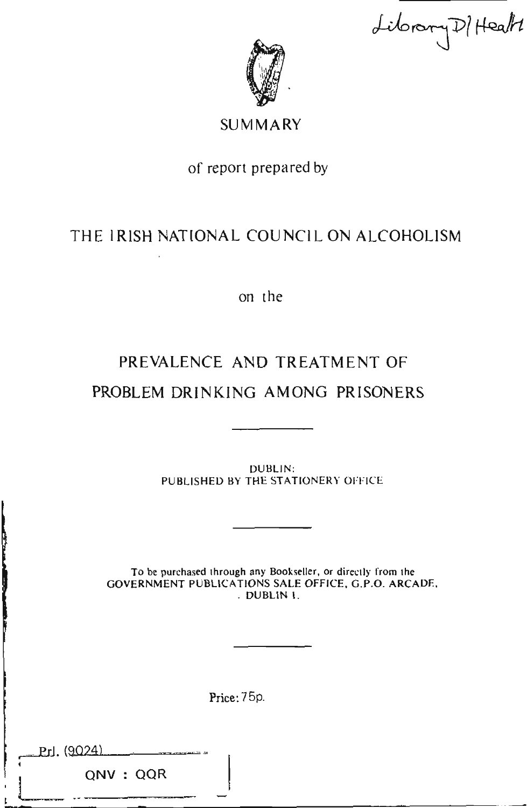Library D/ Healt



# **SUMMARY**

# of report prepared by

# THE IRISH NATIONAL COUNCIL ON ALCOHOLISM

on the

# PREVALENCE AND TREATMENT OF PROBLEM DRINKING AMONG PRISONERS

DUBLIN: PUBLISHED BY THE STATIONERY OFFICE

To be purchased through any Bookseller, or directly from the GOVERNMENT PUBLICATIONS SALE OFFICE, G.P.O. ARCADE, . DUBLIN 1.

Price: 75p.

Prl. (9024) ONV: QQR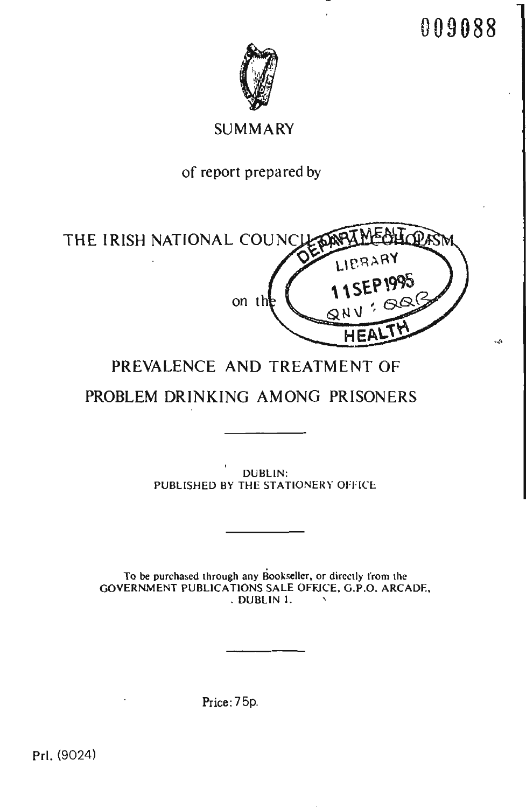009088

J.



SUMMARY

of report prepared by



# PREVALENCE AND TREATMENT OF

# PROBLEM DRINKING AMONG PRISONERS

DUBLIN: PUBLISHED BY THE STATIONERY OFFICE

To be purchased through any Bookseller. or directly from the GOVERNMENT PUBLICATIONS SALE OFFICE, G.P.O. ARCADE, . DUBLIN I. \

Price: 75p.

PrJ. (9024)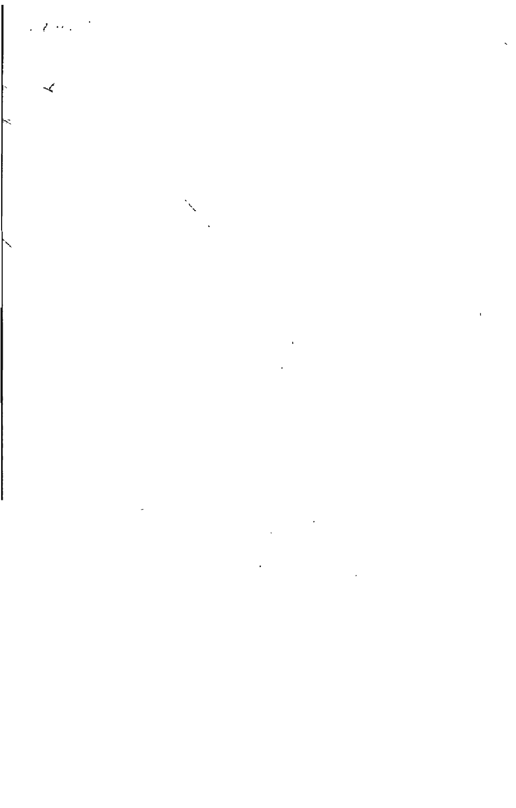$\ddot{\sim}$ 

 $\overline{\mathbf{y}}$ 

 $\sum_{i=1}^{N} \frac{1}{i} \sum_{j=1}^{N} \frac{1}{j} \sum_{j=1}^{N} \frac{1}{j} \sum_{j=1}^{N} \frac{1}{j} \sum_{j=1}^{N} \frac{1}{j} \sum_{j=1}^{N} \frac{1}{j} \sum_{j=1}^{N} \frac{1}{j} \sum_{j=1}^{N} \frac{1}{j} \sum_{j=1}^{N} \frac{1}{j} \sum_{j=1}^{N} \frac{1}{j} \sum_{j=1}^{N} \frac{1}{j} \sum_{j=1}^{N} \frac{1}{j} \sum_{j=1}^{N} \frac{1}{j$ 

 $\sim$ 

 $\mathcal{L}(\mathcal{L}(\mathcal{L}(\mathcal{L}(\mathcal{L}(\mathcal{L}(\mathcal{L}(\mathcal{L}(\mathcal{L}(\mathcal{L}(\mathcal{L}(\mathcal{L}(\mathcal{L}(\mathcal{L}(\mathcal{L}(\mathcal{L}(\mathcal{L}(\mathcal{L}(\mathcal{L}(\mathcal{L}(\mathcal{L}(\mathcal{L}(\mathcal{L}(\mathcal{L}(\mathcal{L}(\mathcal{L}(\mathcal{L}(\mathcal{L}(\mathcal{L}(\mathcal{L}(\mathcal{L}(\mathcal{L}(\mathcal{L}(\mathcal{L}(\mathcal{L}(\mathcal{L}(\mathcal{$  $\mathcal{L}(\mathcal{L}^{\mathcal{L}})$  and  $\mathcal{L}(\mathcal{L}^{\mathcal{L}})$  and  $\mathcal{L}(\mathcal{L}^{\mathcal{L}})$ 

 $\label{eq:2.1} \mathcal{L}(\mathcal{L}) = \mathcal{L}(\mathcal{L}) \mathcal{L}(\mathcal{L}) = \mathcal{L}(\mathcal{L}) \mathcal{L}(\mathcal{L}) \mathcal{L}(\mathcal{L})$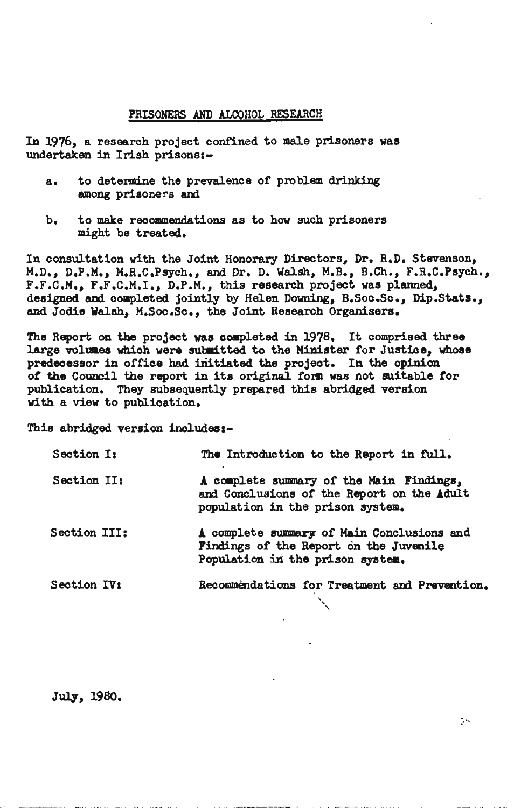# PRISONERS AND ALCOHOL RESEARCH

In 1976, a research project confined to male prisoners was undertaken in Irish prisons:-

- a. to determine the prevalence of problem drinking among prisoners and
- b. to make recommendations as to how such prisoners might be treated.

In consultation with the Joint Honorary Directors, Dr. R.D. Stevenson, M.D., D.P.M., M.R.C.Psych., and Dr. D. Walsh, M.B., B.Ch., F.R.C.Psych., F.F.C.M., F.F.C.M.I., D.P.M., this research project was planned, designed and completed jointly by Helen Downing, B.Soc.Sc., Dip.Stats., and Jodie Walsh, M.Soc.Sc., the Joint Research Organisers.

The Report on the project was completed in 1978. It comprised three large volumes which were submitted to the Minister for Justice, whose predecessor in office had initiated the project. In the opinion of the Council the report in its original form was not suitable for publication. They subsequently prepared this abridged version with a view to publication.

This abridged version includesl-

| Section I:         | The Introduction to the Report in full.                                                                                    |
|--------------------|----------------------------------------------------------------------------------------------------------------------------|
| Section II:        | A complete summary of the Main Findings,<br>and Conclusions of the Report on the Adult<br>population in the prison system. |
| Section III:       | A complete summary of Main Conclusions and<br>Findings of the Report on the Juvenile<br>Population in the prison system.   |
| <b>Section IV:</b> | Recommendations for Treatment and Prevention.                                                                              |

July. 1980.

þ.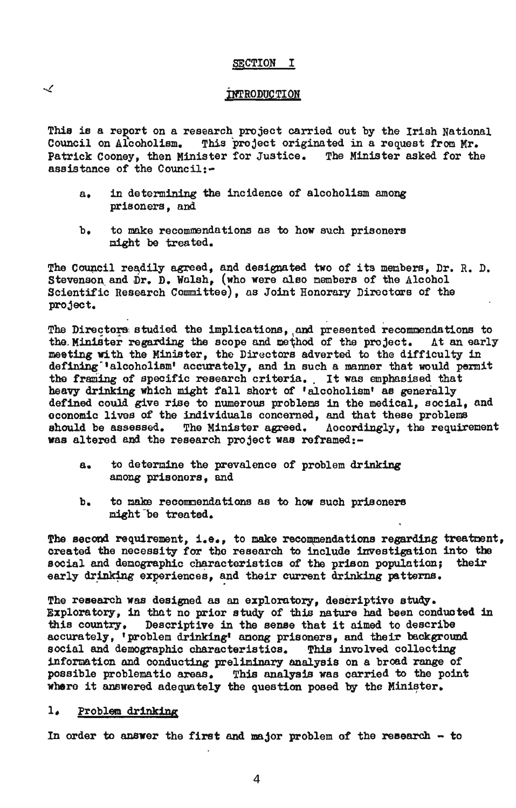### SECTION I

#### INTRODUCTION

This is a report on a research project carried out by the Irish National Council on Alcoholism. This project originated in a request from Mr. Patrick Cooney, then Minister for Justice. The Minister asked for the assistance of the Council:-

- a. in determining the incidence of alcoholism among prisoners, and
- b. to make recommendations as to how such prisoners might be treated.

The Council readily agreed, and designated two of its members, Dr. R. D. Stevenson and Dr. D. Walsh. (who were also members of the Alcohol Scientific Research Committee), as Joint Honorary Directars of the project.

The Directors studied the implications, and presented recommendations to the Minister regarding the scope and method of the project. At an early meeting with the Minister, the Directors adverted to the difficulty in defining 'alcoholism' accurately, and in such a manner that would permit the framing of specific research criteria. It was emphasised that heavy drinking which might fall short of 'alcoholism' as generally defined could give rise to numerous problems in the medical, social, and economic lives of the individuals concerned, and that these problems should be assessed. The Minister agreed. Accordingly, the requirement was altered and the research project was reframed:-

- a. to determine the prevalence of problem drinking among prisoners, and
- b. to make recommendations as to how such prisoners might be treated.

The second requirement, i.e., to make recommendations regarding treatment, created the necessity far the research to include investigation into the social and demographic characteristics of the prison population; their The second requirement, i.e., to make recommendations regarding to<br>created the necessity for the research to include investigation is<br>social and demographic characteristics of the prison population;<br>early drinking experien

The research was designed as an exploratory, descriptive study. Exploratory, in that no prior study of this nature had been conducted in this country. Descriptive in the sense that it aimed to describe accurately, 'problem drinking' among prisoners, and their background social and demographic characteristics. This involved collecting information and conducting preliminary analysis on a broad range of possible problematio areas. This analysis was carried to the point where it answered adequately the question posed by the Minister.

# 1. Problem drinking

 $\prec$ 

In arder to answer the first and major problem of the research - to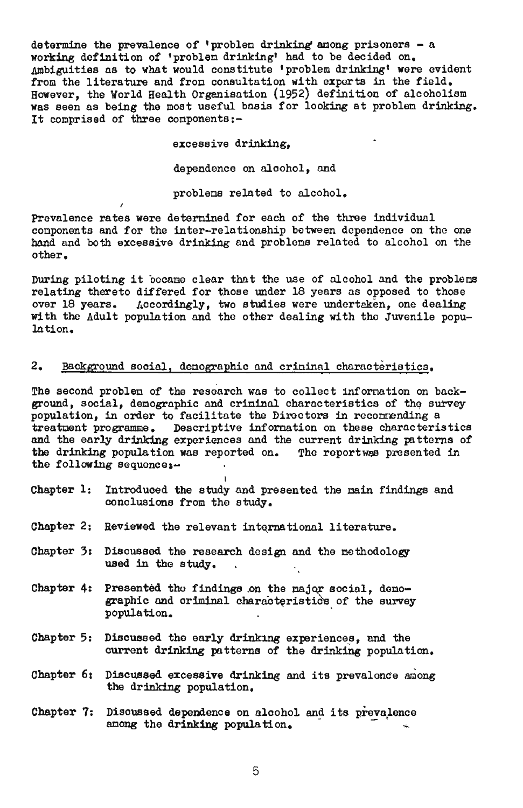determine the prevalence of 'problen drinking' among prisoners - a working definition of 'problen drinking' had to be decided on. Ambiguities as to what would constitute 'problem drinking' wore evident from the literature and from consultation with experts in the field. However, the World Health Organisation (1952) definition of alcoholism was seen as being the most useful basis for looking at problen drinking. It comprised of three components:-

excessive drinking,

dependence on alcohol, and

problems related to alcohol.

Prevalence rates were determined for each of the three individual conponents and for the inter-relationship between dependence on the one hand and both excessive drinking and problems related to alcohol on the other.

During piloting it became clear that the use of alcohol and the problems relating thereto differed for those under 18 years as opposed to those over 18 years. Accordingly, two studies were undertaken, one dealing With the Adult population and the other dealing with tho Juvenile population.

# 2. Background social, denographic and criminal characteristics.

The second problen of the research was to collect infornation on background, social, demographic and criminal characteristics of the survey population, in order to facilitate the Directors in recommending a treatnent programma. Descriptive infornation on these characteristics and the early drinking experiences and the current drinking patterns of the drinking population was reported on. The reportwse presented in the following sequences-

Chapter 1: Introduced the study and presented the main findings and conclUSions from the study.

I

- Chapter 2: Reviewed the relevant international literature.
- Chapter 3: Discussed the research design and the methodology used in the study.  $\sim$   $\sim$
- Chapter 4: Presented the findings on the major social, demographic and criminal characteristics of the survey population.
- Chapter 5: Discussed the early drinking experiences, and the current drinking patterns of the drinking population.
- Chapter  $6:$  Discussed excessive drinking and its prevalonce anong the drinking population.
- Chapter 7: Discussed dependence on alcohol and its prevalence among the drinking population.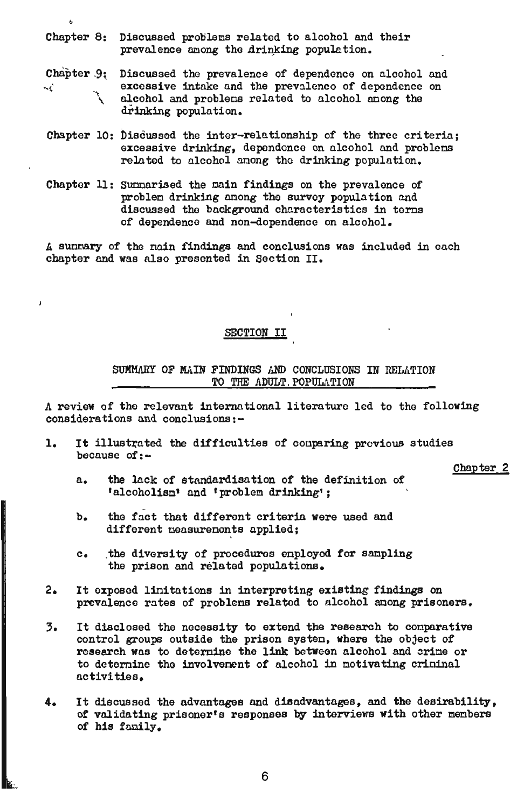- Chapter 8: Discussed problems related to alcohol and their prevalence among the drinking population.
- Chapter 9: Discussed the prevalence of dependence on alcohol and excessive intake and the prevalence of dependence on Кć alcohol and problems related to alcohol anong the drinking population.
- Chapter 10: biscussed the inter-relationship of the three criteria; excessive drinking, dependence on alcohol and problems related to alcohol anong the drinking population.
- Chapter 11: Summarised the main findings on the prevalence of problem drinking anong the survey population and discussed the background characteristics in torns of dependence and non-dopendence on alcohol.

 $\Lambda$  sunmary of the main findings and conclusions was included in each chapter and was also presonted in Section II.

#### SECTION II

# SUMMARY OF MAIN FINDINGS AND CONCLUSIONS IN RELATION TO THE ADULT. POPULATION

A review of the relevant international literature led to the following considerations and conclusions:-

1. It illustrated the difficulties of conparing previous studies because of:-

Chapter<sub>2</sub>

- a. the lack of standardisation of the definition of 'alcoholism' nnd 'problem drinking';
- b. the fact that different criteria were used and different measurenents applied;

- c. .the diversity of proceduros eoployed for sampling the prison and related populations.
- 2. It exposod linitations in interpreting existing findings on prevalence rates of problems related to alcohol anong prisoners.
- 3. It disclosed the necessity to extend the research to cooparative control groups outside the prison system, where the object of research was to determine the link between alcohol and crime or to determine the involvement of alcohol in motivating criminal activi ties.
- 4. It discussed the advantages and disadvantages, and the desirability, of validating prisoner's responses by interviews with other members of his family.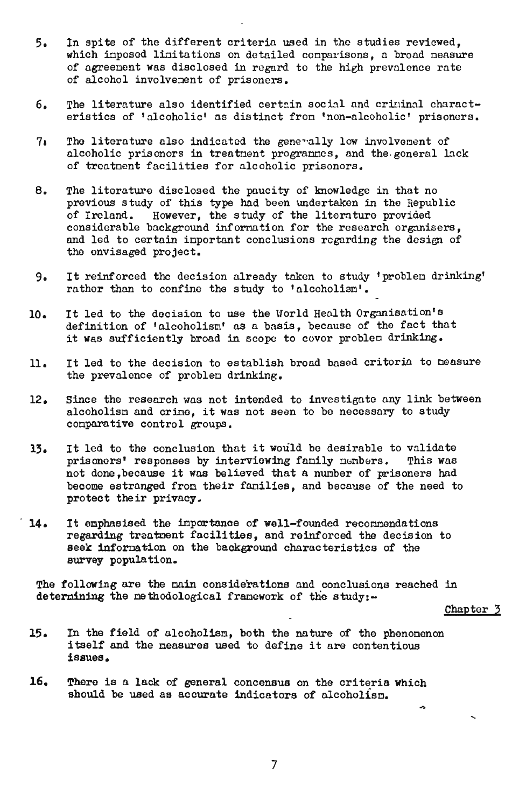- 5. In spite of the different criteria used in the studies reviewed, which inposed linitations on detailed conparisons, a broad neasure of agreenent was disclosed in regard to the high prevalence rate of alcohol involvenent of prisoners.
- 6. The literature also identified certain social and criminal characteristics of 'alcoholic' as distinct fron 'non-alcoholic' prisoners.
- $7.7$  The literature also indicated the generally low involvement of alcoholic prisonors in treatment programmes, and the general lack of treatnent facilities for alcoholic prisoners.
- 8. The literature disclosed the paucity of knowledge in that no previous study of this type had been undertaken in the Republic of Ireland. However, the study of the literature provided considerable background information for the research organisers, and led to certain inportant conclusions regarding the design of the envisaged project.
- 9. It reinforced the decision already taken to study' problen drinking' rather than to confine the study to 'alcoholisn'.
- 10. It led to the decision to use the World Health Organisation's definition of 'alcoholism' as a basis, because of the fact that it was sufficiently broad in scope to cover problen drinking.
- 11. It led to the decision to establish broad based criteria to neasure the prevalence of problen drinking.
- 12. Since the research was not intended to investigate any link between alcoholism and crino, it was not seen to be necessary to study conparative control groups.
- 13. It led to the conclusion that it would be desirable to validate prisoners' responses by interviewing family nembers. This was not done,because it was believed that a nunber of prisoners had become estranged fron their fanilies, and because of the need to protect their privacy.
- . 14. It ecphasised the importance of well-founded reconnendations regarding traatment facilities, and reinforced the decision to seek information on the background characteristics of the survey population.

The following are the main considerations and conclusions reached in determining the methodological framework of the study:-

Chapter  $3$ 

- 15. In the field of alcoholism, both the nature of the phenonenon itself and the neasures used to define it are contentious issues.
- 16. There is a lack of general concensus on the criteria which should be used as accurate indicators of alcoholism.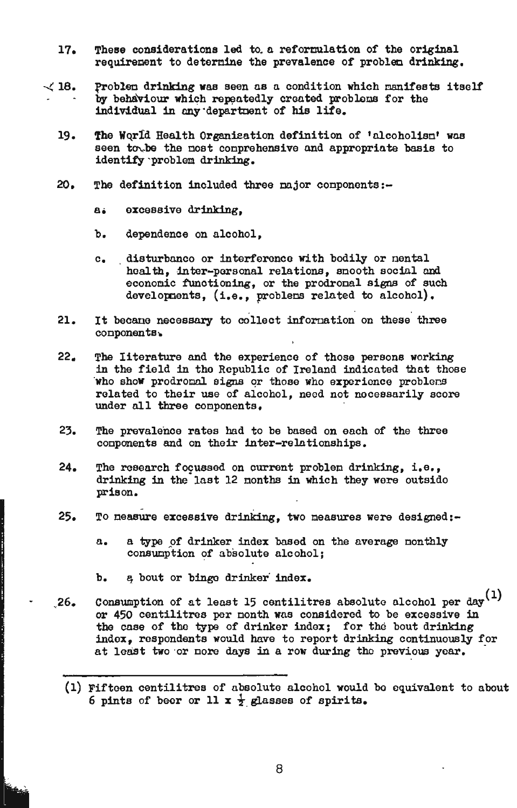- $17.$ These considerations led to a reformulation of the original requirement to determine the prevalence of problem drinking.
- Problem drinking was seen as a condition which manifests itself  $\prec$  18. by behaviour which repeatedly created problems for the individual in any department of his life.
	- 19. The World Health Organization definition of 'alcoholism' was seen to be the most comprehensive and appropriate basis to identify problem drinking.
	- 20. The definition included three major components:
		- á B excessive drinking,
		- $b_{\bullet}$ dependence on alcohol,
		- c. disturbance or interference with bodily or nental health, inter-personal relations, snooth social and economic functioning, or the prodromal signs of such developments, (i.e., problems related to alcohol).
	- It becane necessary to collect information on these three  $21.$ components.
	- $22.$ The literature and the experience of those persons working in the field in the Republic of Ireland indicated that those who show prodromal signs or those who experience problems related to their use of alcohol, need not necessarily score under all three components.
	- $23.$ The prevalence rates had to be based on each of the three components and on their inter-relationships.
	- $24.$ The research focussed on current problem drinking, i.e., drinking in the last 12 months in which they were outsido prison.
	- $25.$ To neasure excessive drinking, two measures were designed:
		- $a_{\bullet}$ a type of drinker index based on the average monthly consumption of absolute alcohol;
		- a bout or binge drinker index.  $b_{\bullet}$
	- Consumption of at least 15 centilitres absolute alcohol per day  $(1)$ 26. or 450 centilitres per nonth was considered to be excessive in the case of the type of drinker index; for the bout drinking indox, respondents would have to report drinking continuously for at least two or nore days in a row during the previous year.

<sup>(1)</sup> Fifteen centilitres of absolute alcohol would be equivalent to about 6 pints of beer or 11 x  $\frac{1}{2}$  glasses of spirits.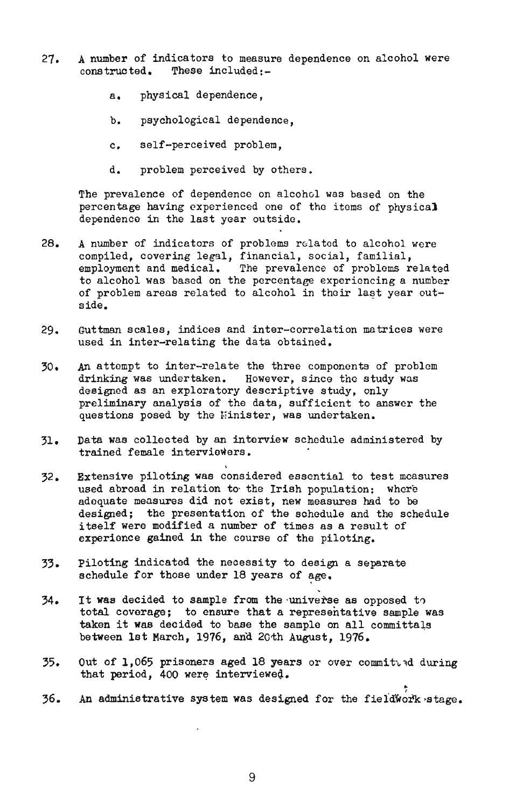- 27. A number of indicators to measure dependence on alcohol were constructed. These included:
	- a. physical dependence,
	- b. psychological dependence,
	- c. self-perceived problem,
	- d. problem perceived by others.

The prevalence of dependence on alcohol was based on the percentage having experienced one of the items of physical dependence in the last year outside.

- 28. A number of indicators of problems related to alcohol were compiled, covering legal, financial, social, familial, employment and medical. The prevalence of problems related to alcohol Was based on the percentage eXperiencing a number of problem areas related to alcohol in their last year outside.
- 29. Guttman scales, indices and inter-correlation matrices were used in inter-relating the data obtained.
- 30. An attempt to inter-relate the three components of problem drinking was undertaken. However, since the study was designed as an exploratory descriptive study, only preliminary analysis of the data, sufficient to answer the questions posed by the Einister, was undertaken.
- 31. Data was collected by an interview Schedule administered by trained female interviewers.
- 32. Extensive piloting was considered essential to test measures used abroad in relation to the Irish population: where adequate measures did not eXist, new measures had to be designed; the presentation of the schedule and the schedule itself were modified a number of times as a result of experience gained in the course of the piloting.
- 33. Piloting indicated the necessity to design a separate schedule for those under 18 years of age.
- $34.$  It was decided to sample from the universe as opposed to total coverage; to ensure that a representative sample was taken it was decided to base the sample on all committals between 1st March, 1976, and 20th August, 1976.
- $35.$  Out of 1,065 prisoners aged 18 years or over committed during that period, 400 were interviewed.
- $36.$  An administrative system was designed for the fieldwork stage.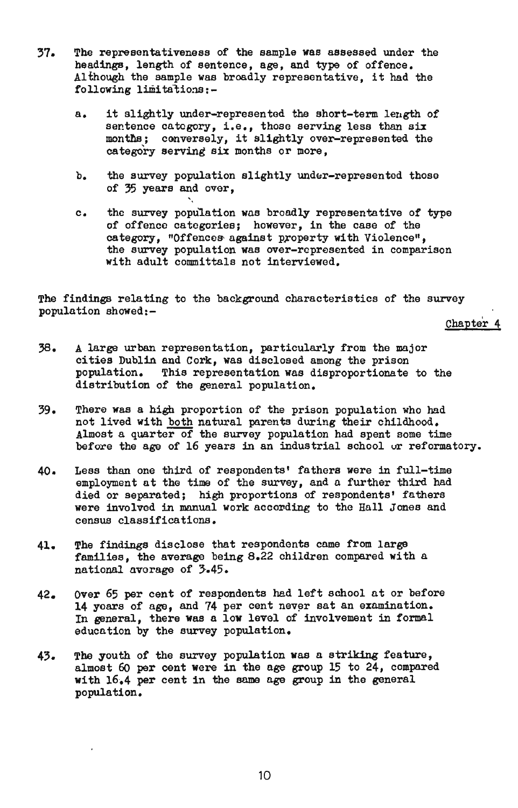- '7. The representativeness of the sample was assessed under the headings, length of sentence, age, and type of offence. Although the sample was broadly representative, it had the following limitations:
	- a. it slightly under-represented the short-term length of sentence category, i.e., those serving less than six months; conversely, it slightly over-represented the category serving six months or more.
	- the survey population slightly under-represented those<br>of 35 years and over, of 35 years and over.
	- c. the survey population was broadly representative of type of offence categories; however, in the case of the category. "Offences against property with Violence", the survey population was over-represented in comparison with adult committals not interviewed.

The findings relating to the background characteristics of the survey population showed:-

Chapter 4

- 38. A large urban representation, particularly from the major cities Dublin and Cork, was disclosed among the prison population. This representation was disproportionate to the distribution of the general population.
- '9. There was a high proportion of the prison population who had not lived with both natural parents during their childhood. Almost a quarter of the survey population had spent some time before the age of 16 years in an industrial school or reformatory.
- 40. Less than one third of respondents' fathers were in full-time employment at the time of the survey, and a further third had died or separated; high proportions of respondents' fathers were involved in manual work according to the Hall Jones and census classifications.
- 41. The findings disclose that respondents came from large families, the average being 8.22 children compared with a national average of 3.45.
- 42. Over 65 per cent of respondents had left school at or before 14 years of age, and 74 per cent never sat an examination. In general, there was a low level of involvement in formal education by the survey population.
- 43. The youth of the survey population was a striking feature, almost 60 per cent were in the age group 15 to 24, compared with 16.4 per cent in the same age group in the general population.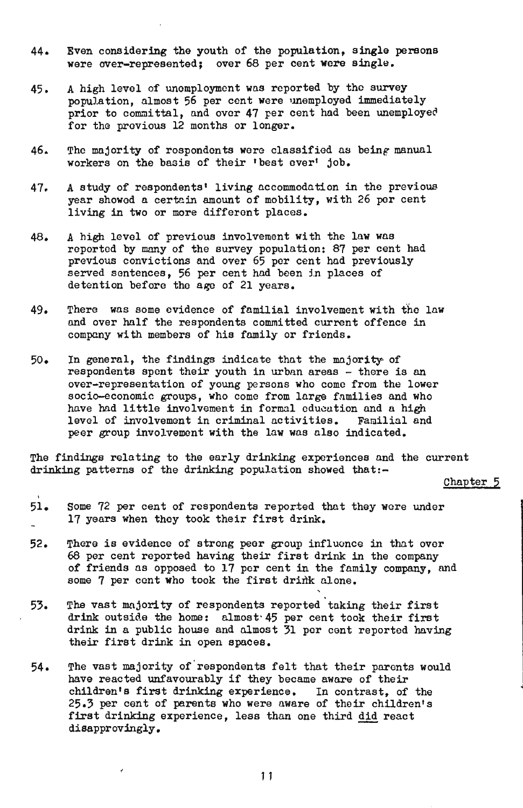- 44. Even considering the youth of the population, single persons were over-represented; over 68 per cent were single.
- 45. A high level of unemployment was reported by the survey population, almost 56 per cent were 'memployed immediately prior to committal, and over 47 per cent had been unemployed for the provious 12 months or longer.
- 46. The majority of rospondents were classified as being manual workers on the basis of their 'best ever' job.
- 47. A study of respondents' living accommodation in the previous year showed a certain amount of mobility, with 26 por cent living in two or more different places.
- 48. A high level of previous involvement with the law was reported by many of the survey population: 87 per cent had previous convictions and over 65 per cent had previously served sentences, 56 per cent had been in places of detention before the age of 21 years.
- 49. There was some evidence of familial involvement with the law and over half the respondents committed current offence in company with members of his family or friends.
- $50.$  In general, the findings indicate that the majority of respondents spent their youth in urban areas - there is an over-representation of young persons who come from the lower socio-economic groups, who come from large families and who have had little involvement in formal educution and a high level of involvement in criminal activities. Familial and peer group involvement with the law was also indicated.

The findings relating to the early drinking experiences and the current drinking patterns of the drinking population showed that:-

Chapter 5

- 51. Some 72 per cent of respondents reported that they were under 17 years when they took their first drink.
- 52. There is evidence of strong peer group influence in that over 68 per cent reported having their first drink in the company of friends as opposed to 17 per cent in the family company, and some 7 per cent who took the first drink alone.
- 53. The vast mnjori ty of respondents reported' taking their first drink outside the home: almost' 45 per cent took their first drink in a public house and almost 31 per cent reported having their first drink in open spaces.
- 54. The vast majority of' respondents felt that their parents would have reacted unfavourably if they became aware of their children's first drinking experience. In contrast, of the 25.3 per cent of parents who were aware of their children's first drinking experience, less than one third did react  $\frac{1}{2}$  disapprovingly.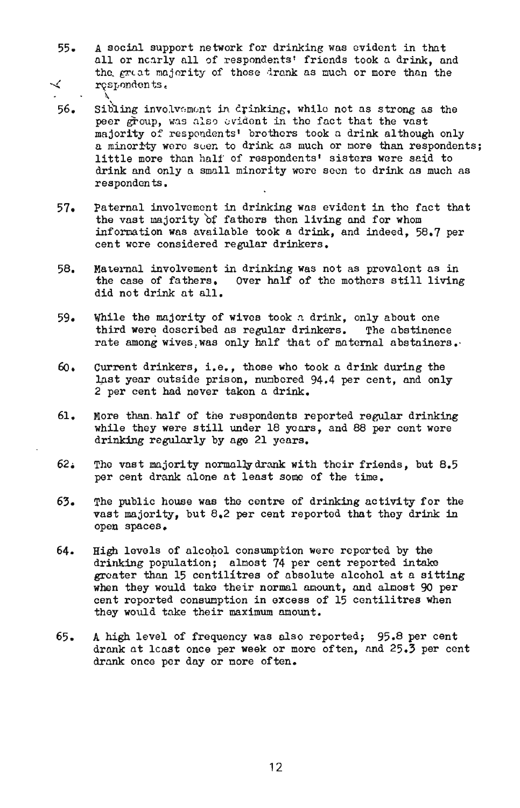- 55. A socin! support network for drinking was evident in that all or nearly all of respondents' friends took a drink, and the great majority of those drank as much or more than the  $\prec$ respondents.  $\,$ 
	- $56.$ Sibling involvement in crinking, while not as strong as the peer group, was also evident in the fact that the vast majority of respondents' brothers took a drink although only a minority were seen to drink as much or more than respondents; little more than half of respondents' sisters were said to drink and only a small minority were seon to drink as much as responden ts.
	- 57. Paternal involvement in drinking was evident in the fact that the vast majority of fathers then living and for whom infornation was available took a drink, and indeed, 58.7 per cent were considered regular drinkers.
	- 58. Maternal involvement in drinking was not as prevalent as in the case of fathers. Over half of the mothers still living did not drink at all.
	- 59. While the majority of wives took  $\alpha$  drink, only about one third were described as regular drinkers. The abstinence rate among wives.was only half that of maternal abstainers.
	- 60. Current drinkers, i.e., those who took a drink during the Last year outside prison, numbered 94.4 per cent, and only 2 per cent had never taken a drink.
	- 61. More than. half of the respondents reported regular drinking while they were still under 18 years, and B8 per cent were drinking regularly by age 21 years.
	- $62.$  The vast majority normally drank with their friends, but 8.5 per cent drank alone at least some of the time.
	- 63. The public house was the centre of drinking activity for the vast majority, but  $8.2$  per cent reported that they drink in open spaces.
	- 64. High levels of alcohol consumption were reported by the drinking population; almost 74 per cent reported intake greater than 15 centilitres of absolute alcohol at a sitting when they would take their normal amount, and almost 90 per cent reported consumption in excess of 15 ccntilitres when they would take their maximum amount.
	- 65. A high level of frequency was also reported; 95.8 per cent drank at least once per week or more often, and 25.3 per cent drank once per day or more often.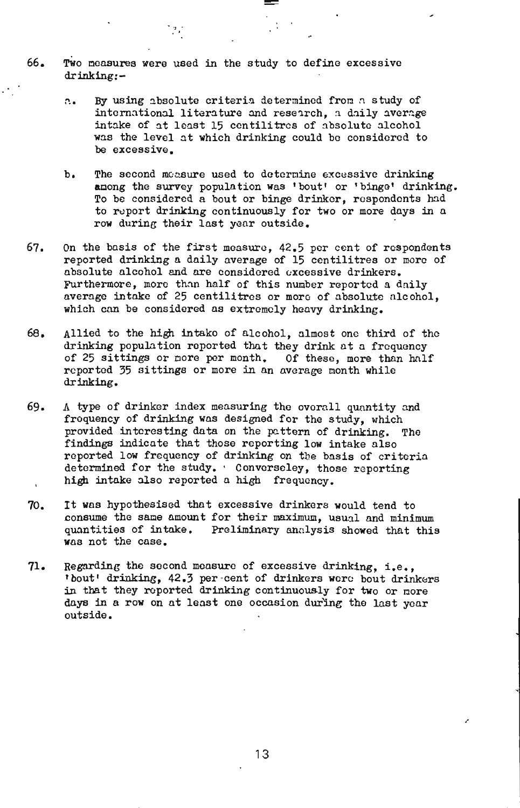66. Two measures were used in the study to define excessive drinking:-

" ,-

- a. By using absolute criteria determined from a study of international literature and research, a daily average intake of at least 15 centilitres of absolute alcohol was the level at which drinking could be considered to be excessive.
- b. The second moesure used to determine excessive drinking among the survey population was 'bout' or 'binge' drinking. To be considered a bout or binge drinker, respondents had to report drinking continuously for two or more days in a row during their last year outside.
- 67. On the basis of the first measure, 42.5 per cent of respondents reported drinking a daily average of 15 centilitres or more of absolute alcohol and are considered excessive drinkers. Furthermore, more than half of this number reported a dnily average intake of 25 centilitres or morc of absolute alcohol, which can be considered as extremely heavy drinking.
- 68. Allied to the high intake of alcohol, almost one third of the drinking population reported that they drink at a frequency of 25 sittings or more per month. Of these, more than half reported 35 sittings or more in an average month while drinking.
- 69. A type of drinker index measuring the overall qunntity and froquency of drinking was designed for the study, which provided interesting data on the pattern of drinking. The findings indicate that those reporting low intake also reported low frequency of drinking on the basis of criteria determined for the study. . Converseley, those reporting high intake also reported a high frequency.
- 70. It was hypothesised that excessive drinkers would tend to .consume the same amount for their maximum, usual and minimum quantities of intake. Preliminary annlysis showed that this was not the case.
- 71. Regarding the second measure of excessive drinking, i.e., ' bout' drinking, 42.3 per cent of drinkers were bout drinkers in that they reported drinking continuously for two or more days in a row on at least one occasion during the last year outside.

13

.'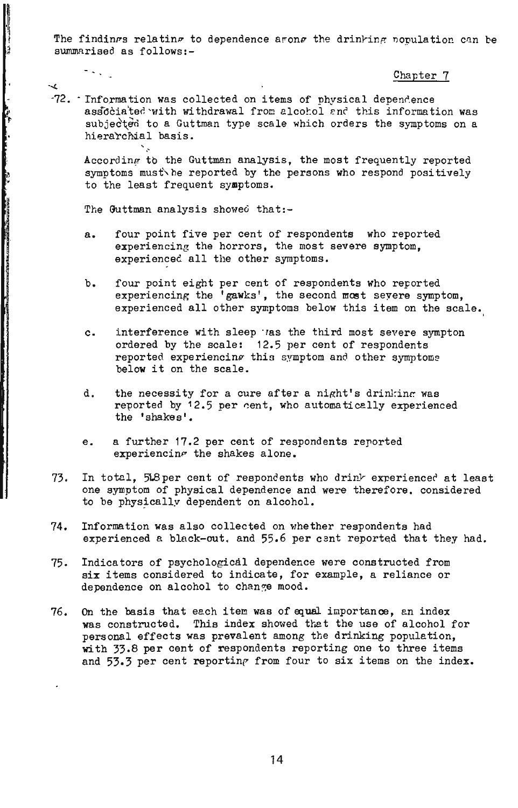The findings relating to dependence arong the drinking population can be summarised as follows:-

Chapter 7

Ñ.

 $\sim$   $\sim$   $\sim$ 

.,

-72. - Informa tion was collected on items of nhvsical denenr.ence associated with withdrawal from alcohol and this information was subjected to a Guttman type scale which orders the symptoms on a hierarchial basis.

According to the Guttman analysis, the most frequently reported symptoms must he reported by the persons who respond positively to the least frequent symptoms.

The Guttman analysis showed that:-

- a. four point five per cent of respondents who reported experiencing the horrors, the most severe symptom, experienced all the other symptoms.
- b. four point eight per cent of respondents who reported experiencing the 'gawks', the second most severe symptom. experienced all other symptoms below this item on the scale.
- c. interference with sleep 'as the third most severe sympton ordered by the scale: 12.5 per cent of respondents reported experiencing this symptom and other symptome below it on the scale.
- d. the necessity for a cure after a night's drinking was reported by 12.5 per cent, who automatically experienced the 'shakes'.
- e. a further 17.2 per cent of respondents reported experiencing the shakes alone.
- 73. In total, 518 per cent of respondents who drink experienced at least one symptom of physical dependence and were therefore. considered to be physically dependent on alcohol.
- 74. Information was also collected on whether respondents had experienced a black-out, and 55.6 per cent reported that they had.
- 75. Indicators of psychological dependence were constructed from six items considered to indicate, for example, a reliance or dependence on alcohol to change mood.
- $76.$  On the basis that each item was of equal importance, an index was constructed. This index showed that the use of alcohol for personal effects was prevalent among the drinking population, with 33.8 per cent of respondents reporting one to three items and  $53.3$  per cent reporting from four to six items on the index.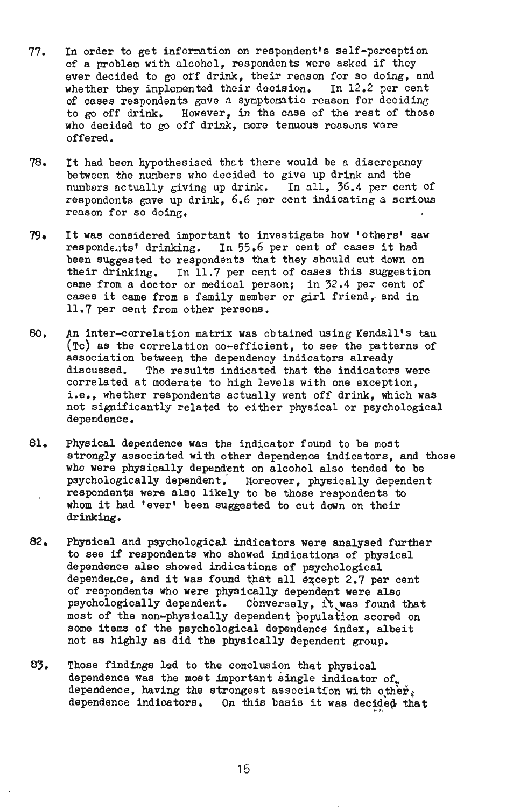- 77. In order to get infornntion on respondent's self-perception of a problen with alcohol, respondents were asked if they ever decided to go off drink, their renson for so doing, and whether they implemented their decision. In  $12.2$  per cent of cases respondents gave a symptomatic reason for deciding to go off drink. However, in the case of the rest of those who decided to go off drink, more tenuous reasons were offered.
- 78. It had been hypothesised thnt there would be a discrepancy between the numbers who decided to give up drink and the etween the numbers who declaed to give up drink and the<br>unbers actually giving up drink. In all, 36.4 per cent of respondents gave up drink, fight in the serious control of reason for so doing.
- **79.** It was considered important to investigate how 'others' saw respondents' drinking. In 55.6 per cent of cases it had been suggested to respondents that they should cut down on their drinking. In 11.7 per cent of cases this suggestion came from a doctor or medical person; in 32.4 per cent of cases it came from a family member or girl friend, and in 11.7 per cent from other persons.
- 80. An inter-correlation matrix was obtained using Kendall's tau (Tc) as the correlation co-efficient, to see the patterns of association between the dependency indicators already discussed. The results indicated that the indicators were correlated at moderate to high levels with one exception, i.e., whether respondents actually went off drink, which was not Significantly related to either physical or psychological dependence.
- 81. Physical dependence was the indicator found to be most strongly associated with other dependence indicators, and those who were physically dependent on alcohol also tended to be psychologically dependent" !-ioreover, physically dependen t respondents were also likely to be those respondents to  $\mathbf{r}$ whom it had 'ever' been suggested to cut down on their drinking.
- 82. Physical and psychological indicators were analysed further to see if respondents who showed indications of physical dependence also showed indications of psychological dependence. and it was found that all except 2.7 per cent of respondents who were physically dependent were also psychologically dependent. Conversely, it was found that most of the non-physically dependent population scored on some items of the psychological dependence index, albeit not as highly as did the physically dependent group.
- 83. Those findings led to the conclusion that physical dependence was the most important single indicator of. dependence, having the strongest association with other. dependence indicators. On this basis it was decided that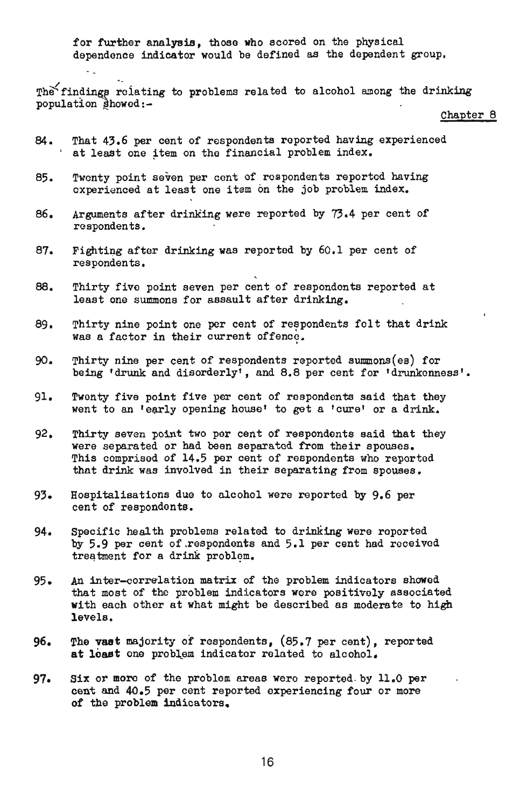for further analysis, those who scored on the physical dependence indicator would be defined as the dependent group,

he findings relating to problems related to alcohol among the drinking  $p$ opulation  $\delta$ howod:-

## Chapter 8

- 84. That 43.6 per cent of respondents reported having experienced , at least one item on the financial problem index.
- 85. Twenty point seven per cent of respondents reported having experienced at least one item on the job problem index.

 $\ddot{\phantom{0}}$ 

- 86. Arguments after drinKing were reported by 73.4 per cent of responden ts.
- 87. Fighting after drinking was reported by 60.1 per cent of res ponden ts •
- 88. Thirty five point seven per cent of respondents reported at least one summons for assault after drinking.
- 89. Thirty nine point one per cent of respondents felt that drink was a factor in their current offence.
- 90. Thirty nine per cent of respondents reported summons(es) for being 'drunk and disorderly', and 8.8 per cent for 'drunkenness'.
- 91. Twenty five point five per cent of respondents said that they went to an 'early opening house' to get a 'cure' or a drink.
- 92. Thirty seven point two per cent of respondents said that they were separated or had been separated from their spouses. This comprised of 14.5 per cent of respondents who reported that drink was involved in their separating from spouses.
- 93. Hospitalisations due to alcohol were reported by 9.6 per cent of respondents.
- 94. Specific health problems related to drinking were reported by 5.9 per cent of respondents and 5.1 per cent had received treatment for a drink problem.
- 95. An inter-correlation matrix of the problem indicators showed that most of the problem indicators wore positively associated with each other at what might be described as moderate to high levels.
- 96. The vast majority of respondents, (85.7 per cent), reported at least one problem indicator related to alcohol.
- 97. Six or more of the problem areas were reported. by 11.0 per cent and 40.5 per cent reported experiencing four or more of the problem indicators.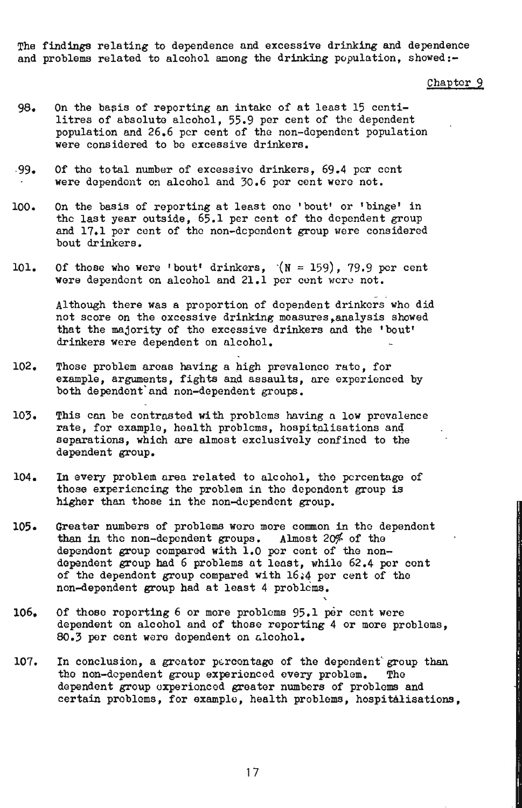The findings relating to dependence and excessive drinking and dependence and problems related to alcohol among the drinking population, showed:-

#### Chapter 9

- 98. On the basis of reporting an intake of at least 15 centilitres of absolute alcohol, 55.9 per cent of the dependent population and 26.6 per cent of the non-dependent population were considered to be excessive drinkers.
- ·99. Of the total number of excessive drinkers, 69.4 per cent were dependent on alcohol and 30.6 per cent were not.
- 100. On the basis of reporting at least one 'bout' or 'binge' in the last year outside, 65.1 per cent of the dependent group and 17.1 per cent of the non-dependent group were considered bout drinkers.
- 101. Of those who were 'bout' drinkers,  $(N = 159)$ , 79.9 per cent were dependent on alcohol and 21.1 per cent were not.

Although there was a proportion of dependent drinkers who did not score on the excessive drinking measures, analysis showed that the majority of the excessive drinkers and the 'bout' drinkers were dependent on alcohol.

- 102. Those problem areas having a high prevalence rate, for example, arguments, fights and assaults, are experienced by both dependent'and non-dependent groups.
- 103. This can be contrasted with problems having a low prevalence rate, for example, health problems, hospitalisations and separations, which are almost exclusively confined to the dependent group.
- 104. In every problem area related to alcohol, tho percentage of those experiencing the problem in the dependent group is higher than those in the non-dcpendent group.
- 105. Greater numbers of problems wore more common in the dependent than in the non-dependent groups. Almost 20% of the dependent group compared with 1.0 per cent of the nondependent group had 6 problems at least, while 62.4 per cent of the dependent group compared with l6~4 per cent of the non-dependent group had at least 4 problems.
- 106. Of those reporting 6 or more problems  $95.1$  per cent were dependent on alcohol and of those reporting 4 or more problems, SO.3 per cent were dependent on ulcohol.
- 107. In conclusion, a greater percentage of the dependent group than the non-dependent group experienced every problem. The dependent group experienced greater numbers of problems and certain problems, for example, health problems, hospitalisations,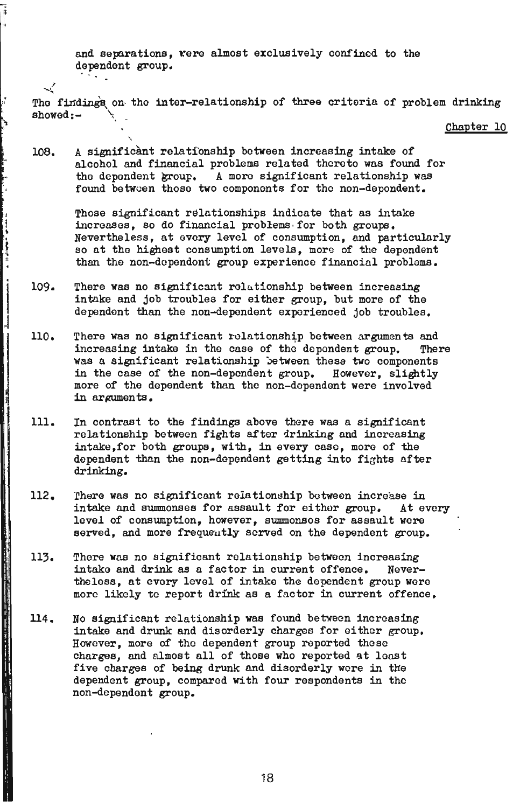and separations. Yere almost exclusively confined to the dependent group.

The findings on the inter-relationship of three criteria of problem drinking  $showed:-$ 

#### Chapter 10

A significant relationship between increasing intake of 108. alcohol and financial problems related thereto was found for the dependent group. A more significant relationship was found between those two components for the non-depondent.

√

**The company of the company of the company of the company of the company of the company of the company of the company of the company of the company of the company of the company of the company of the company of the company** 

**Communication** 

J

Those significant relationships indicate that as intake increases. so do financial problems for both groups. Nevertheless, at every level of consumption, and particularly so at the highest consumption levels, more of the dependent than the non-dependent group experience financial problems.

- 109. There was no significant rolationship between increasing intake and job troubles for either group, but more of the dependent than the non-dependent experienced job troubles.
- There was no significant relationship between arguments and 110. increasing intake in the case of the dependent group. There was a significant relationship between these two components in the case of the non-dependent group. However, slightly more of the dependent than the non-dependent were involved in arguments.
- 111. In contrast to the findings above there was a significant relationship between fights after drinking and increasing intake, for both groups, with, in every case, more of the dependent than the non-dependent getting into fights after drinking.
- There was no significant relationship between increase in 112. intake and summonses for assault for either group. At every level of consumption, however, summonsos for assault were served, and more frequently served on the dependent group.
- 113. There was no significant relationship between increasing intake and drink as a factor in current offence. Neverthe less. at every level of intake the dependent group were more likely to report drink as a factor in current offence.
- No significant relationship was found between increasing 114. intake and drunk and disorderly charges for either group. However, more of the dependent group reported these charges, and almost all of those who reported at loast five charges of being drunk and disorderly were in the dependent group, compared with four respondents in the non-dependent group.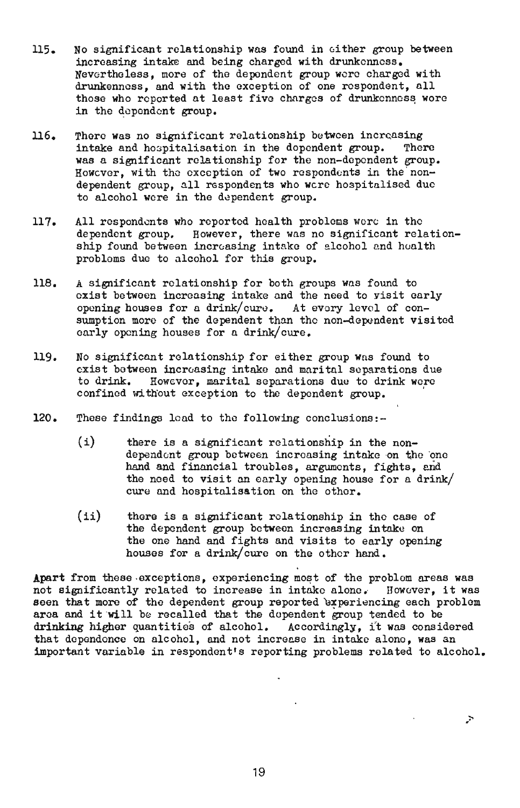- 115. No significant relationship was found in either group between increasing intake and being charged with drunkenness. Nevertheless, more of the dependent group were charged with drunkenness, and with the exception of one respondent, all those who reported at least five charges of drunkenness wore in the dependent group.
- 116. There was no significant relationship between increasing intake and hospitalisation in the dependent group. There was a significant relationship for the non-dependent group. However, with the exception of two respondents in the nondependent group, all respondents who were hospitalised due to alcohol were in the dependent group.
- 117. All respondents who reported health problems were in the dependent group. However, there was no significant relationship found between increasing intake of alcohol and health problems due to alcohol for this group.
- 118. A significant relationship for both groups was found to exist between increasing intake and the need to visit early opening houses for a drink/cure. At every lovel of consumption more of the dependent than the non-dependent visited early opening houses for n drink/cure.
- 119. No significant relationship for either group *was* found to exist between increasing intake and marital separations due to drink. However, marital separations due to drink were confined without exception to the dependent group.
- 120. Those findings lead to the following conclusions:-
	- (i) there is a significant relationship in the nondependent group between increasing intake on the one hand and financial troubles, arguments, fights, end the need to visit an early opening house for a drink/ cure and hospitalisation on the other.
	- (ii) there is a significant relationship in the case of the dependent group between increasing intake on the one hand and fights and visits to early opening houses for a drink/cure on the other hand.

Apart from these exceptions, experiencing most of the problom areas was not significantly related to increase in intake alone. However, it was seen that more of the dependent group reported experiencing each problem area and it will be recalled that the dopendent group tended to be drinking higher quantities of alcohol. Accordingly, it was considered that dependence on alcohol, and not increase in intake alone, was an important variable in respondent's reporting problema related to alcohol.

Å,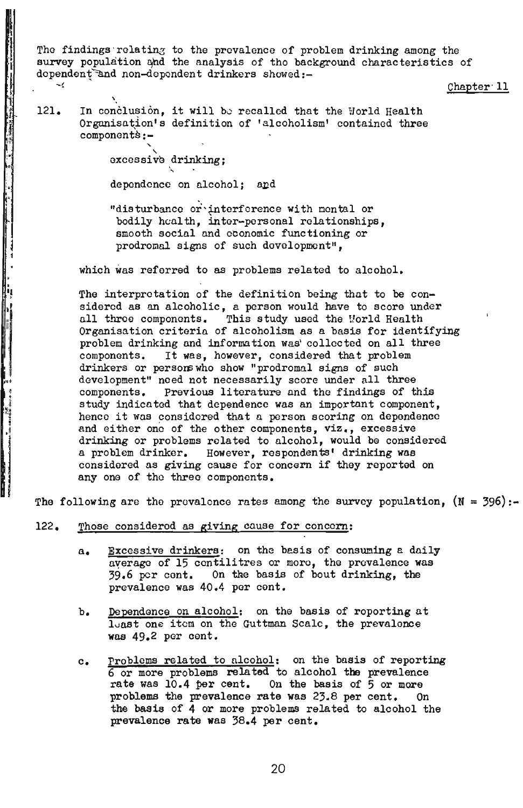The findings relating to the prevalence of problem drinking among the survey population and the analysis of tho background characteristics of dopendent and non-dependent drinkers showed:- $\sim$ 

Chapter' 11

121. In conclusion, it will be recalled that the World Health Organisation's definition of 'alcoholism' contained three components:-

ents:-<br>xcessive drinking;

|<br>|<br>|

 $\mathbf{I}$ 

dependence on alcohol; and

"disturbance or interference with mental or bodily health, inter-personal relationships, smooth social and economic functioning or prodromal signs of such development",

which was referred to as problems related to alcohol.

The interpretation of the definition being that to be considered as an alcoholic, a person would have to score under iderca as an aiconolic, a person would have to score under<br>11 three components. This study used the Morld Health all throe components. This study used the World Health<br>Organisation criteria of alcoholism as a basis for identifying problem drinking and information was' collected on all three components. It was, however, considered that problem drinkers or personswho show "prodromal signs of such development" need not necessarily score under all three components. Previous literature and tho findings of this study indicated that dependence was an important component, hence it was considered that a person scoring on dependence and either one of the other components, viz., excessive drinking or problems related to alcohol, would be considered a problem drinker. However, respondents' drinking was considered as giving cause for concern if they reported on anyone of tho three components.

The following are the provalence rates among the survey population.  $(N = 396)$ :-

- 122. Those considered as giving cause for concorn:
	- a. Excessive drinkers: on the besis of consuming a daily average of 15 centilitres or more, the prevalence was 39.6 per cont. On the basis of bout drinking, the prevalence was 40.4 per cent.
	- b. Dependence on alcohol: on the basis of reporting at luast one itom on the Guttman Scale, the prevalonce was 49.2 per cent.
	- c. Problems related to nlcohol: on the basis of reporting FODIEMS related to alcohol: on the basis of reporting or more proplems related to alcohol the prevalence problems the prevalence rate was 23.8 per cent. On the basis of 4 or more problems related to alcohol the prevalence rate was 38.4 per cent.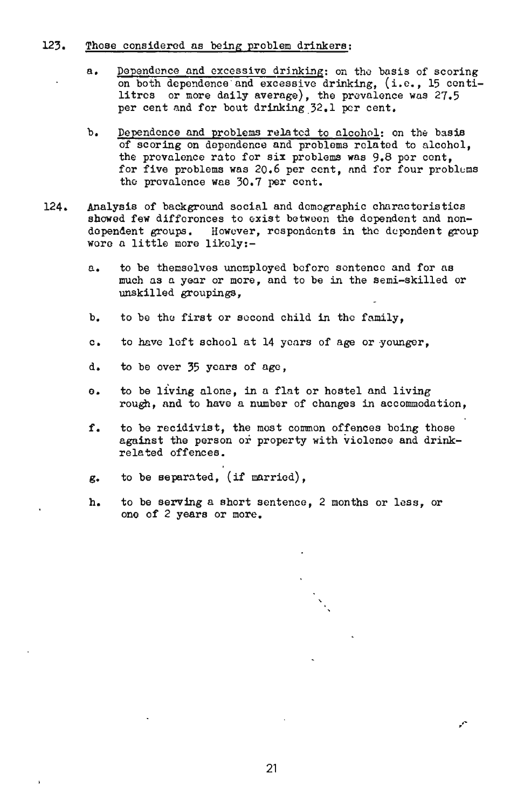# 123. Those considered as being problem drinkers:

- a. Dependence and excessive drinking: on the basis of scoring on both dependence and excessive drinking, (i.e., 15 centilitres or more daily average), the prevalence was 27.5 per cent and for bout drinking 32.1 per cent.
- b. Dependence and problems related to alcohol: on the basis of scoring on dependence and problems related to alcohol, the prevalence rate for six problems was 9.8 per cent, for five problems was 20.6 per cent, and for four problems the prevalence was 30.7 per cent.
- 124. Analysis of background social and demographic characteristics showed few differences to exist between the dependent and nondependent groups. However, respondents in the dependent group wore a little more 1ikely:
	- n. to be themselves unemployed before sentence and for as much as a year or more, and to be in the semi-skilled or unskilled groupings,
	- b. to be the first or second child in the family.
	- c. to havc left school at 14 years of age or younger,
	- d. to be over 35 years of age,
	- e. to be living alone, in a f1nt or hostel and living rough, and to have a number of changes in accommodation,
	- f. to be recidivist, the most common offences being those against the person or property with violence and drinkrelated offences.
	- g. to be separated, (if married),
	- h. to be serving a short sentence, 2 months or less, or one of 2 years or more.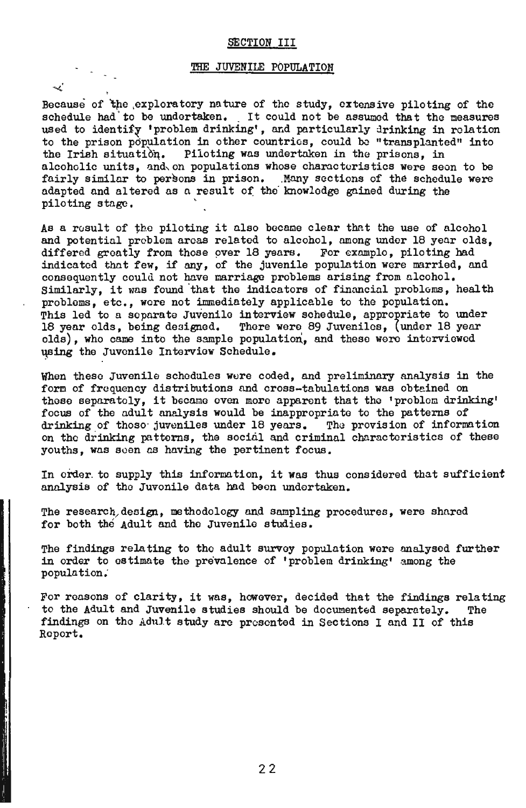#### SECTION III

#### THE JUVENILE POPULATION

Ÿ.

Because of the exploratory nature of the study, extensive piloting of the schedule had to be undertaken. It could not be assumed that the measures used to identify 'problem drinking', and particularly drinking in relation to the prison population in other countries, could be "transplanted" into the Irish situation. Piloting was undertaken in the prisons, in alcoholic units, and on populations whose charactoristics were seen to be fairly similar to persons in prison. Many sections of the schedule were adapted and altered as a result of the knowledge gained during the piloting stage.

As a result of the piloting it also became clear that the use of alcohol and potential problem areas related to alcohol, nmong under 18 year olds, differed greatly from those pver 18 years. For example, piloting had indicated that few, if any, of the juvenile population were married, and consequently could not have marriage problems arising from alcohol. Similarly, it was found that the indicators of financial problems, health problems, etc., were not immediately applicable to the population. This led to a soparate Juvenile interview schedule, appropriate to under 18 year olds, being designed. There were 89 Juveniles, (under 18 year olds), who came into the sample population, and these were interviewed using the Juvenile Interview Schedule.

When these Juvenile schedules were coded, and preliminary analysis in the form of frequency distributions and cross-tabulations was obtained on these separately, it became even more apparent that the 'problem drinking' focus of the adult analysis would be inappropriate to the patterns of drinking of thoso juveniles under 18 years. The provision of information drinking of thoso juveniles under 18 years. on the drinking patterns, the social and criminal characteristics of these youths, was soen as having the pertinent focus.

In order. to supply this information, it was thus considered that sufficient analysis of the Juvenile data had been undertaken.

The research/design, methodology and sampling procedures, were shared for both the Adult and the Juvenile studies.

The findings relating to the adult survey population were analysed further in order to estimate the prevnlence of 'problem drinking' among the population:

For reasons of clarity, it was, however, decided that the findings relating to the Adult and Juvenile studies should be documented separately. The findings on the Adult study are prosented in Sections I and II of this Report.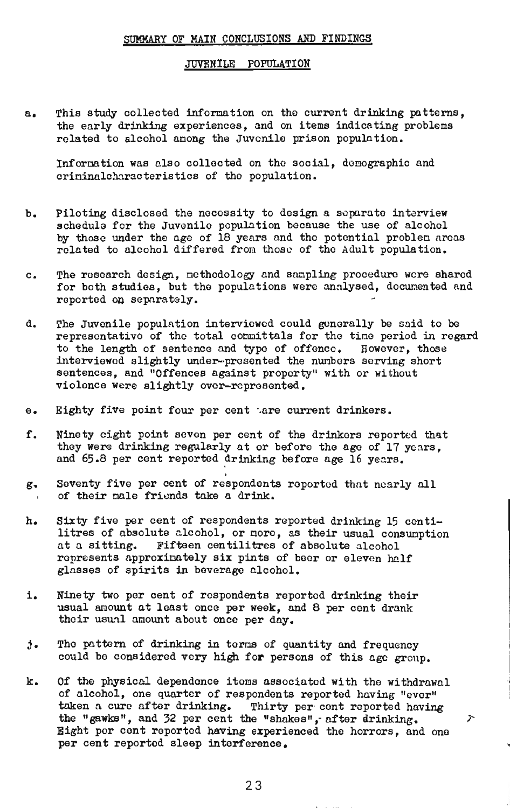#### SUMMARY OF MAIN CONCLUSIONS AND FINDINGS

#### JUVENILE POPULATION

a. This study collected inforcation on the current drinking patterns, the early drinking experiences, and on items indicating problems related to alcohol among the Juvenile prison population.

Information was also collected on the social, demographic and criminalcharacteristics of the population.

- b. Piloting disclosed the necessity to design a separate interview schedule for the Juvenile population because the use of alcohol by those under the age of 18 years and the potential problem areas related to alcohol differed from those of the Adult population.
- c. The research design, nethodology and sampling procedure were shared for both studies, but the populations were analysed, documented and reported on separately.
- d. The Juvenile populntion interviewed could generally be said to be representative of the total committals for the time period in regard to the length of sentence and type of offence. However, thoso interviewed slightly under-presented the numbers serving short sentences, and "Offences against property" with or without violence were slightly over-represented.
- e. Eighty five point four per cent are current drinkers.
- f. Ninety eight point seven per cent of the drinkers reported that they were drinking regularly at or before the age of 17 years, and 65.8 per cent reported drinking before age 16 years.
- . g. Seventy five per cent of respondents reported that nearly all of their cale friends take a drink.
- h. Sixty five per cent of respondents reported drinking 15 centilitres of absolute alcohol, or nore, as their usual consumption at a sitting. Fifteen centilitres of absolute alcohol represents approximately six pints of beer or eleven half glasses of spirits in beverage alcohol.
- i. Ninety two per cent of respondents reported drinking their usual amount at least once per week, and 8 per cent drank their usual amount about once per day.
- j. The pattern of drinking in terms of quantity and frequency could be considered very high for persons of this age group.
- k. Of the physical dependence items associated with the withdrawnl of alcohol, one quarter of respondents reported having "ever" t alcohol, one quarter of respondents reported having "ever"<br>aken a cure after drinking. Thirty per cent reported having taken a cure after drinking. Thirty per cent reported having<br>the "gawks", and 32 per cent the "shakes", after drinking, Eight per cent reported having experienced the horrors, and one per cent reportod sleep interference.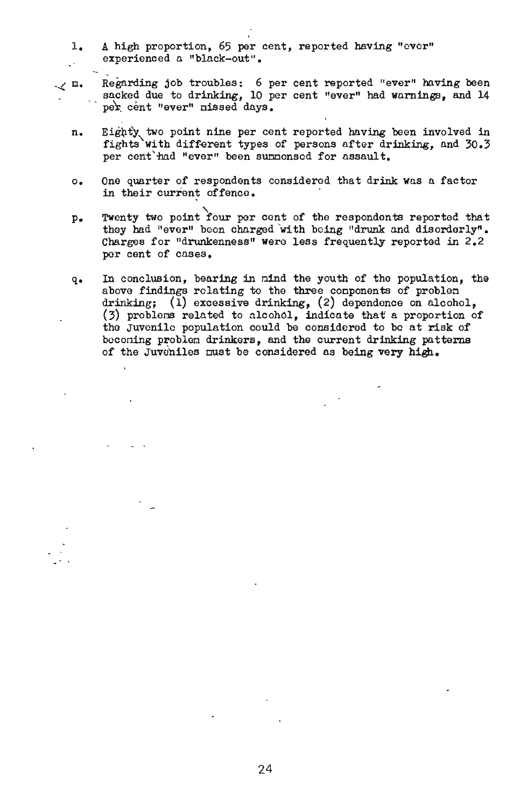- 1. A high proportion, 65 per cent, reported having "ever" experienced a "black-out".
- $\mathcal{L}$  =. Regarding job troubles: 6 per cent reported "ever" having been sacked due to drinking, 10 per cent "ever" had warnings, and 14 per cent "ever" missed days.
	- n. Eighty two point nine per cent reported having been involved in fights with different types of persons after drinking, and 30.3 per cent'rd "ever" been surmonsed for assault.
	- o. One quarter of respondents considered that drink wus a factor in their current offence.
	- p. Pwenty two point four per cent of the respondents reported that they had "ever" been charged with being "drunk and disorderly". Charges for "drunkenness" wero less frequently reported in 2.2 per cent of cases.
	- q. In conclusion, bearing in nind the youth of the population, the above findings relating to the three conponents of problem drinking; (1) excessive drinking, (2) dependence on alcohol, (3) problems related to alcohol, indicate that a proportion of the Juvenile population could be considered to be at risk of bcconing problen drinkers, and the current drinking patterns of the Juveniles must be considered as being very high.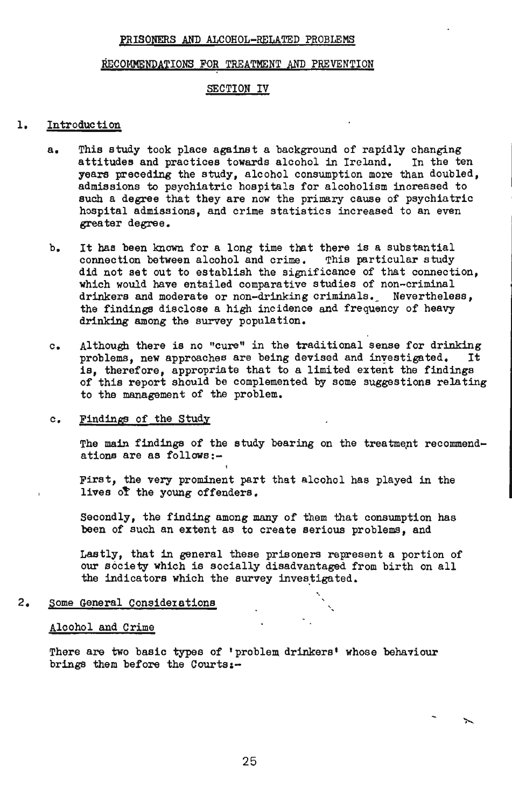### PRISONERS AND ALCOHOL-RELATED PROBLEMS

### RECOMMENDATIONS FOR TREATMENT AND PREVENTION

# SECTION IV

#### **1.** Introduction

- **a.** This study took place against a background of rapidly changing attitudes and practices towards alcohol in Ireland. In the ten years preceding the study, alcohol consumption more than doubled, admissions to psychiatric hospitals for alcoholism increased to such a degree that they are now the primary cause of psychiatric hospital admissions, and crime statistics increased to an even greater degree.
- b. It has been known for a long time that there is a substantial connection between alcohol and crime. This particular study did not set out to establish the significance of that connection, which would have entailed comparative studies of non-criminal drinkers and moderate or non-drinking criminals. Nevertheless, the findings disclose a high incidence and frequency of heavy drinking among the survey population.
- c. Although there is no "cure" in the traditional sense for drinking problems, new approaches are being devised and inyestigated. It is, therefore, appropriate that to a limited extent the findings of this report should be complemented by some suggestions relating to the management of the problem.
- c. Findings of the Study

The main findings of the study bearing on the treatment recommendations are as follows:-

First, the very prominent part that alcohol has played in the lives of the young offenders.

secondly, the finding among many of them that consumption has been of such an extent as to create serious problems, and

Lastly, that in general these prisoners represent a portion of our society which is socially disadvantaged from birth on all the indicators which the survey investigated.

2. Some General Considerations

#### Alcohol and Crime

There are two basic types of 'problem drinkers' whose behaviour brings them before the Courts:-

 $\overline{}$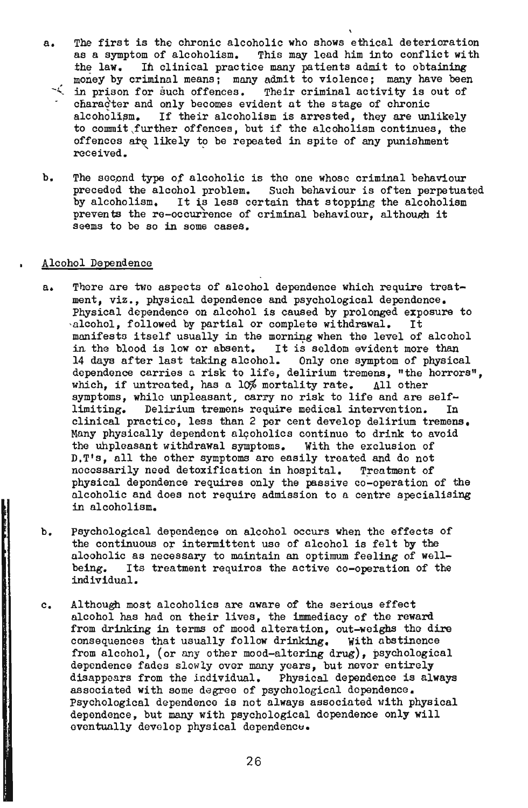- a. The first is the chronic alcoholic who shows ethical deterioration as a symptom of alcoholism. This may lead him into conflict with the law. In clinical practice many patients admit to obtaining money by criminal means; many admit to violence; many have been
	- $\sim$  in prison for such offences. Their criminal activity is out of character and only becomes evident at the stage of chronic alcoholism. If their alcoholism is arrested, they are unlikely to commit ,further offences, but if the alcoholism continues, the offences are likely to be repeated in spite of any punishment received.
- b. The secpnd type *of* alcoholic is the one whose criminal behaviour preceded the alcohol problem. Such behaviour is often perpetuated by alcoholism. It is less certain that stopping the alcoholism prevents the re-occurrence of criminal behaviour, although it seems to be so in some cases.

#### Alcohol Dependence

- a. There are two aspects of alcohol dependence which require treatment, viz., physical dependence and psychological dependence. Physical dependence on alcohol is caused by prolonged exposure to 'alcohol, followed by partial or complete withdrawal. It manifests itself usually in the morning when the level of alcohol manifests itself usually in the morning when the level of alcoho<br>in the blood is low or absent. It is seldom evident more than 11 the biood is iow of absence it is serious evident more than<br>14 days after last taking alcohol. Only one symptom of physical dependence carries a risk to life, delirium tremens, "the horrors", which, if untreated, has a 10% mortality rate. All other symptoms, while unpleasant, carry no risk to life and are selflimiting. Delirium tremens require medical intervention. In clinical practice, less than 2 per cent develop delirium tremens. Many physically dependent alcoholics continue to drink to avoid the uhpleasant withdrawal symptoms. With the exclusion of D.T's, all the other symptoms are easily treated and do not necessarily need detoxification in hospital. Treatment of physical dependence requires only the passive co-operation of the alcoholic and does not require admission to a centre specialising in alcoholism.
- b. Psychological dependence on alcohol occurs when the effects of the continuous or intermittent use of alcohol is felt by the alooholic as necessary to maintain an optimum feeling of wellbeing. Its treatment requiros the active co-operation of the individual.
- c. Although most alcoholics are aware of the serious effect alcohol has had on their lives, the immediacy of the reward from drinking in terms of mood alteration, out-weighs tho dire consequences that usually follow drinking. With abstinence from alcohol, (or any other mood-altering drug), psychological dependence fades slowly over many years, but never entirely disappears from the individual. Physical dependence is always associated with some degree of psychological dependence. Psychological dependence is not always associated with physical dependence, but many with psychological dopendence only will oventually develop physical dependence.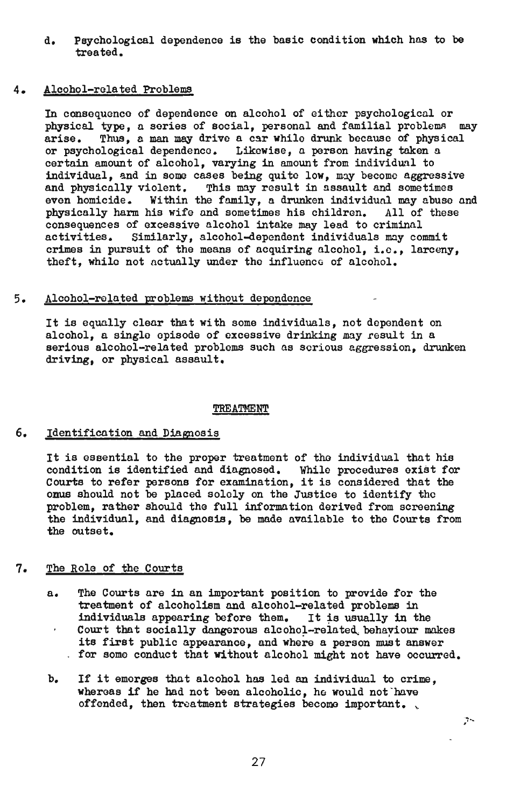d. Psychological dependence is the basic condition which has to be treated.

### 4. Alcohol-rela ted Problems

In consequence of dependence on alcohol of either psychological or physical type, a series of social, personal and familial problems may arise. Thus, a man may drive a car while drunk because of physical Thus, a man may drive a car while drunk because of physical or psychological dependenco. LikeWise, a person having taken a certain amount of alcohol, varying in amount from individual to individual, and in some cases being quite low, may become aggressive and physically violent. This may result in assault and sometimes even homicide. Within the family, a drunken individual may abuse and physically harm his wife and sometimes his children. All of these consequences of excessive alcohol intake may lead to criminal Similarly, alcohol-dependent individuals may commit crimes in pursuit of the means of acquiring alcohol, i.e., larceny, theft, while not actually under the influence of alcohol.

# 5. Alcohol-related problems without dependence

It is equally clear that with some individuals, not dependent on alcohol, a single episode of excessive drinking may result in a serious alcohol-related problems such as serious aggression, drunken driving, or physical assault.

#### TREATMENT

# 6. Identification and Diagnosis

It is essential to the proper treatment of tho individual that his condition is identified and diagnosed. While procedures exist for Courts to refer persons for examination, it is considered that the onus should not be placed solely on the Justice to identify the problem, rather should the full information derived from screening the individual, and diagnosis, be made available to the Courts from the outset.

# 7. The Role of the Courts

- a. The Courts are in an important position to provide for the treatment of alcoholism and alcohol-related probtems in individuals appearing before them. It is usually in the Court that socially dangerous alcohol-related behaviour makes its first public appearance, and where a person must answer
	- for somo conduct that without alcohol might not have occurred.
- b. If it emerges that alcohol has led an individual to crime. whereas if he had not been alcoholic, he would not have offended, then treatment strategies become important.

 $\mathbb{R}$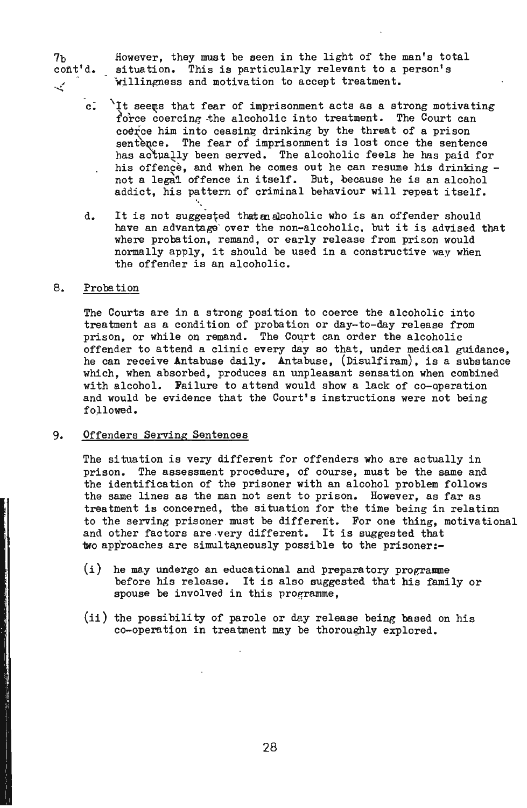7b cont'd. However, they must be seen in the light of the man's total situation. This *is* particularly relevant to a person's Willingness and motivation to accept treatment.

 $\prec$ 

- $c_{\bullet}$  $\lambda$ It seems that fear of imprisonment acts as a strong motivating force coercing the alcoholic into treatment. The Court can coerce him into ceasing drinking by the threat of a prison sentence. The fear of imprisonment is lost once the sentence has actually been served. The alcoholic feels he has paid for his offence, and when he comes out he can resume his drinking not a legal offence in itself. But, because he is an alcohol addict, his pattern of criminal behaviour will repeat itself.
- d. It is not suggested that an alcoholic who is an offender should have an advantage' over the non-alcoholic. but *it is* advised that where probation, remand, or early release from prison would normally apply, it should be used in a constructive way when the offender *is* an alcoholic.

#### 8. Probation

The Courts are in a strong position to coerce the alcoholic into treatment as a condition of probation or day-to-day release from prison, or while on remand. The Court can order the alcoholic offender to attend a clinic every day so that, under medical guidance, he can receive Antabuse daily. Antabuse, (Disulfiram), *is* a substance which, when absorbed, produces an unpleasant sensation when combined with alcohol. Failure to attend would show a lack of co-operation and would be evidence that the Court's instructions were not being followed.

# 9. Offenders Serving Sentences

The *situation is* very different for offenders who are actually *in*  prison. The assessment procedure, of course, must be the same and the identification of the prisoner with an alcohol problem follows the same lines as the man not sent to prison. However, as far as treatment *is* concerned, the situation for the time being *in* relatinn to the serving prisoner must be different. For one thing, motivational and other factors are ,very different. It *is* suggested that two approaches are simultaneously possible to the prisoner:-

- $(i)$  he may undergo an educational and preparatory programme before his release. It is also suggested that his family or spouse be involved *in* this programme,
- (ii) the possibility of parole or day release being based on his co-operation in treatment may be thoroughly explored.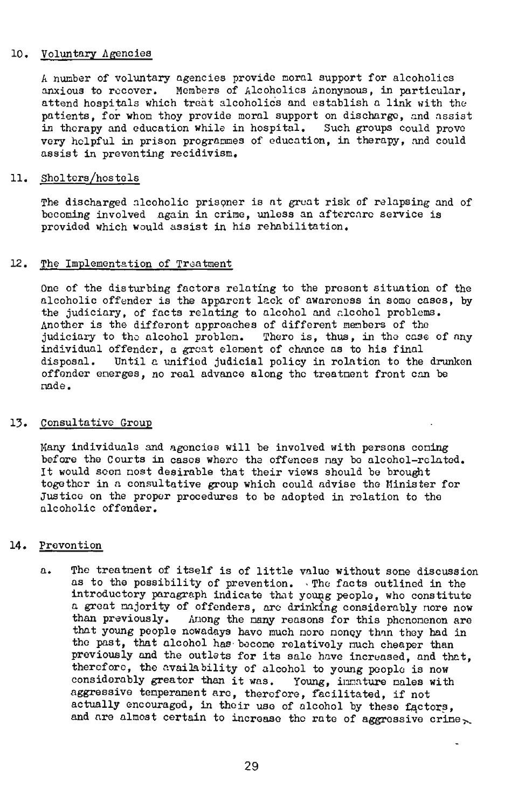#### 10. voluntary Agencies

A number of voluntary agencies provide moral support for alcoholics anxious to recover. Members of Alcoholics Anonymous, in particular, attend hospitals which treat alcoholics and establish a link with the patients, for whon they provide moral support on discharge, nnd assist in therapy and education while in hospital. Such groups could provo very helpful in prison programmes of education, in therapy, and could assist in preventing recidivism.

# **11.** Shelters/hostels

The discharged alcoholic prisoner is at great risk of relapsing and of becoming involved again in crime, unless an aftercare service is provided which would assist in his rehabilitation.

# 12. The Implementation of Treatment

One of the disturbing factors relating to the present situation of the alcoholic offender is the apparent lack of awareness in some cases, by the judiciary, of facts relating to alcohol and alcohol problems. Another is the different approaches of different members of the judiciary to the alcohol problem. Thero is, thus, in the case of any individual offender, a groat element of chance as to his final disposal. Until a unified judicial policy in rolation to the drunken offender eoerges, no real advance along the treatnent front can be rode.

#### 13. Consultative Group

Many individuals and agencies will be involved with persons coning before the Courts in cases where the offences nay be alcohol-related. It would seem nost desirable that their views should be brought together in a consultative group which could advise the Minister for Justice on the proper procedures to be adopted in relation to the alcoholic offender.

# **14.** Prevention

a. The treatnent of itself is of little value without sone discussion as to the possibility of prevention. The facts outlined in the introductory paragraph indicate that young people, who constitute a great majority of offenders, arc drinking considerably nore now than previously. Anong the nany reasons for this phononenon are that young people nowadays havo much noro noney than they had in the past, that alcohol has become relatively nuch cheaper than previously and the outlets for its sale have increased, and that, therefore, the availability of alcohol to young people is now considerably greater than it was. Young, immature males with aggressive tenperanent are, therefore, facilitated, if not actually encouraged, in their use of alcohol by these factors. and are almost certain to increase the rate of aggressive crime.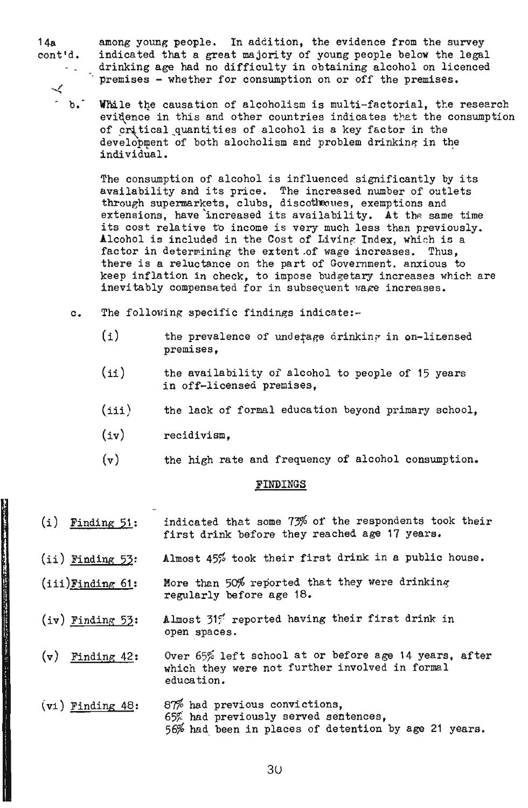148 cont'd.

שה המודר המוכר היה המודר המודר המודר המודר המודר המודר המודר המודר המודר המודר המודר המודר המודר המודר המודר ה<br>המודר המודר המודר המודר המודר המודר המודר המודר המודר המודר המודר המודר המודר המודר המודר המודר המודר המודר המ

among young people. In addition, the evidence from the survey indicated that a great majority of young people below the legal drinking age had no difficulty in obtaining alcohol on licenced premises - whether for consumption on or off the premises.

 $-b.$ While the causation of alcoholism is multi-factorial, the research evidence in this and other countries indicates that the consumption of critical quantities of alcohol is a key factor in the development of both alocholism and problem drinking in the individual.

The consumption of alcohol is influenced significantly by its availability and its price. The increased number of outlets through supermarkets, clubs, discotheoues, exemptions and extensions, have increased its availability. At the same time its cost relative to income is very much less than previously. Alcohol is included in the Cost of Living Index, which is a factor in determining the extent.of wage increases. Thus, there is a reluctance on the part of Government. anxious to keep inflation in check, to impose budgetary increases which are inevitably compensated for in subsequent wage increases.

- c. The following specific findings indicate:-
	- $(i)$  the prevalence of underage drinkin $\dot{r}$  in on-lizensed premises,
	- $(ii)$ the availability of alcohol to people of 15 years in off-licensed premises,
	- $(iii)$ the lack of formal education beyond primary school,
	- $(iv)$ recidivism,
	- (v) the high rate and frequency of alcohol consumption.

# FINDINGS

- $(i)$  Finding  $51$ : indicated that some  $7\%$  of the respondents took their first drink before they reached age 17 years.
- (ii) Finding 53: Almost 45% took their first drink in a public house.
- $(iii)$ Finding  $61$ : More than 50% reported that they were drinking regularly before age 18.
- (iv) Finding 53: Almost 31<sup>%</sup> reported having their first drink in open spaces.

 $(v)$  Finding 42: Over 65% left school at or before age 14 years, after which they were not further involved in formal education.

 $(vi)$  Finding 48: 87% had previous convictions, 65% had previously served sentences, 56% had. been in places of detention by age 21 years.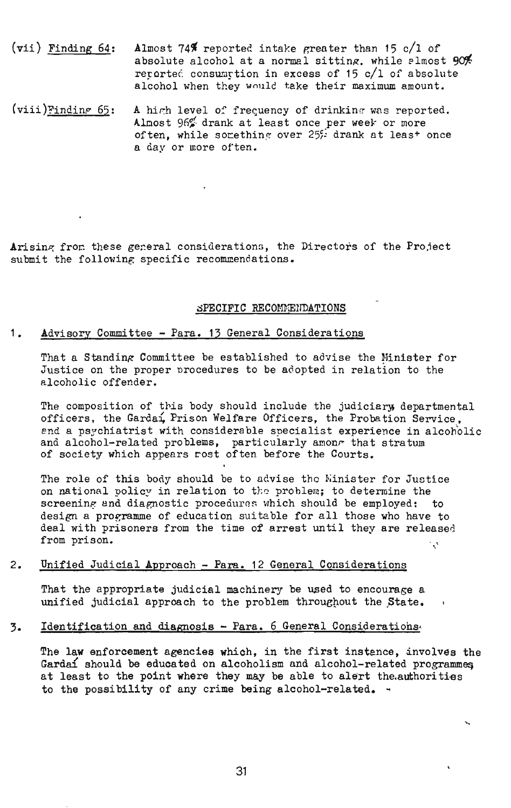- $(vii)$  Finding 64: Almost 74% reported intake greater than 15 c/l of absolute alcohol at a normal sitting, while almost 90% reported consumption in excess of 15 c/l of absolute alcohol when they would take their maximum amount.
- $(viii)$ Finding  $65:$ A high level of frequency of drinking was reported. Almost 96% drank at least once per week or more often, while something over 25% drank at least once a day or more often.

Arising from these general considerations, the Directors of the Project submit the following specific recommendations.

#### SPECIFIC RECOMMENDATIONS

#### $1.$ Advisory Committee - Para. 13 General Considerations

That a Standing Committee be established to advise the Minister for Justice on the proper procedures to be adopted in relation to the alcoholic offender.

The composition of this body should include the judiciary, departmental officers, the Garda, Prison Welfare Officers, the Probation Service. and a psychiatrist with considerable specialist experience in alcoholic and alcohol-related problems, particularly among that stratum of society which appears rost often before the Courts.

The role of this body should be to advise the Minister for Justice on national policy in relation to the problem; to determine the screening and diagnostic procedures which should be employed: to design a programme of education suitable for all those who have to deal with prisoners from the time of arrest until they are released from prison. 7,8

#### Unified Judicial Approach - Para. 12 General Considerations  $2.$

That the appropriate judicial machinery be used to encourage a unified judicial approach to the problem throughout the State.

#### 3. Identification and diagnosis - Para. 6 General Considerations.

The law enforcement agencies which, in the first instance, involves the Gardaí should be educated on alcoholism and alcohol-related programmes at least to the point where they may be able to alert the authorities to the possibility of any crime being alcohol-related.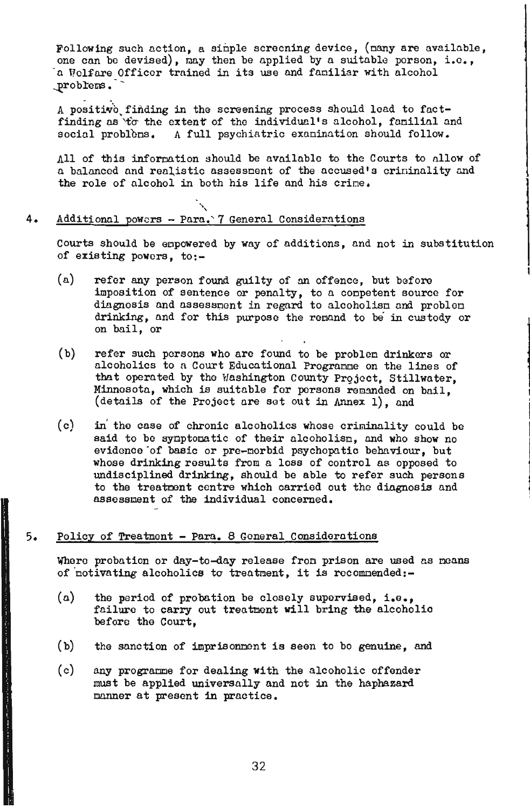Following such action, a sinple screening device, (many are available, one can be devised), may then be applied by a suitable person. i.e.. a Volfare Officer trained in its use and familiar with alcohol problems.

A positive finding in the screening process should lead to factfinding as 'to the extent of the individual's alcohol, familial and social problems. A full psychiatric examination should follow.

All of this information should be available to the Courts to allow of a balanced and realistic assessment of the accused's crininality and the role of alcohol in both his life and his crino.

# 4. Additional powers - Para. 7 General Considerations

Courts should be empowered by way of additions, and not in substitution of existing powers, to:-

- (a) refer any person found guilty of an offence, but before imposition of sentence or penalty, to a competent source for diagnosis and assessment in regard to alcoholism and problem drinking, and for this purpose the remand to be in custody or on bail, or
- (b) refer such persons who are found to be problem drinkers or alcoholics to a Court Educational Programme on the lines of that operated by the Washington County Project, Stillwater, Minnosota, which is suitable for persons remanded on bail, (details of the Project are set out in Annex 1), and
- (c) in' tho case of chronic alcoholics whose criminality could be said to be symptomatic of their alcoholism, and who show no evidence of basic or pre-morbid psychopatic behaviour, but whose drinking results from a loss of control as opposed to undisciplined drinking, should be able to refer such persons to the treatment centre which carried out the diagnosis and assessment of the individual concerned.

#### 5. Policy of Treatment - Para. 8 General Considerations

والمتعاون والمستحيلات والمتوافق والمتحدث والمسترات والمتحدث والمستحدث والمستحدث والمستحدث والمستحدث

Where probation or day-to-day release from prison are used as means of notivating alcoholics to treatment, it is recomnended:-

- (a) the period of probation be closely supervised, i.e., failure to carry out treatment will bring the alcoholio before the Court,
- $(b)$  the sanction of imprisonment is seen to bo genuine, and
- (c) any programme for dealing with the alcoholic offender must be applied universally and not in the haphazard manner at present in practice.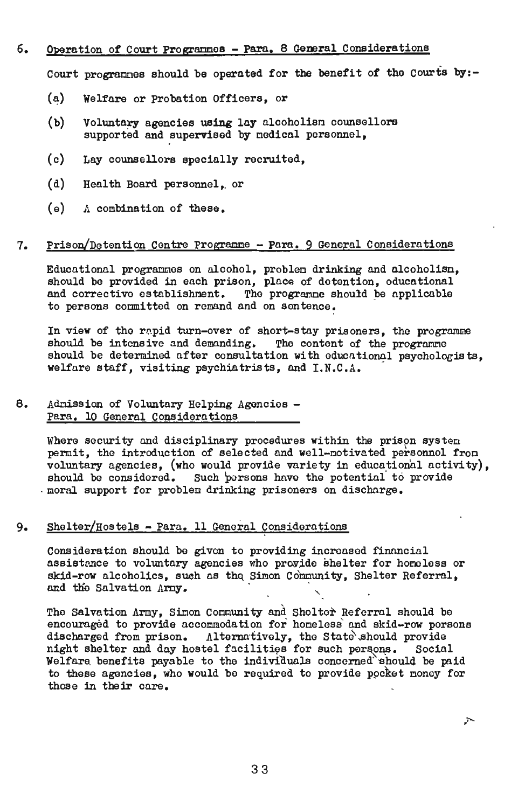# 6. Operation of Court Programmes - Para. 8 General Considerations

Court programmes should be operated for the benefit of the Courts by:-

- $(a)$ Welfare or Probation Officers, or
- $(b)$ Voluntary agencies using lay alcoholisn counsellors supported and supervised by nedical personnel,
- (c) Lay counsellors specially recruited,
- (d) Health Board personnel,. or
- (e) A combination of these.

# 7. Prison/Detention Centre Programme - Para. 9 General Considerations

Educational progracmes on alcohol, problen drinking and alcoholisn, should be provided in each prison, place of detention, educational and corrective establishment. The programme should be applicable to persons committed on remand and on sontence.

In view of the rapid turn-over of short-stay prisoners, the programme should be intensive and demanding. The content of the programme should be determined after consultation with educntional psychologists, welfare staff, visiting psychiatrists, and I.N.C.A.

## 8. Adnission of Voluntary Helping Agencies -Para. 10 General Considerations

Where security and disciplinary procedures within the prison system permit, the introduction of selected and well-notivated personnel from voluntary agencies, (who would provide variety in educational activity), should be considered. Such persons have the potential to provide should be considered. Such persons have the potential to provide . Such persons have the potential to

# 9. Shelter/Hostels - Para. 11 General Considerations

Consideration should be given to providing increased financial assistance to voluntary agencies who provide shelter for homeless or skid-row alcoholics, such as the Simon Community, Shelter Referral, and the Salvation Army.

The Salvation Army, Simon Community and Sholter Referral should be encouraged to provide accommodation for homeless and skid-row porsons discharged from prison. Alternatively, the State should provide night shelter and day hostel facilities for such persons. Social Welfare benefits payable to the individuals concerned should be paid to these agencies, who would be required to provide pocket noncy for those in their care.

∼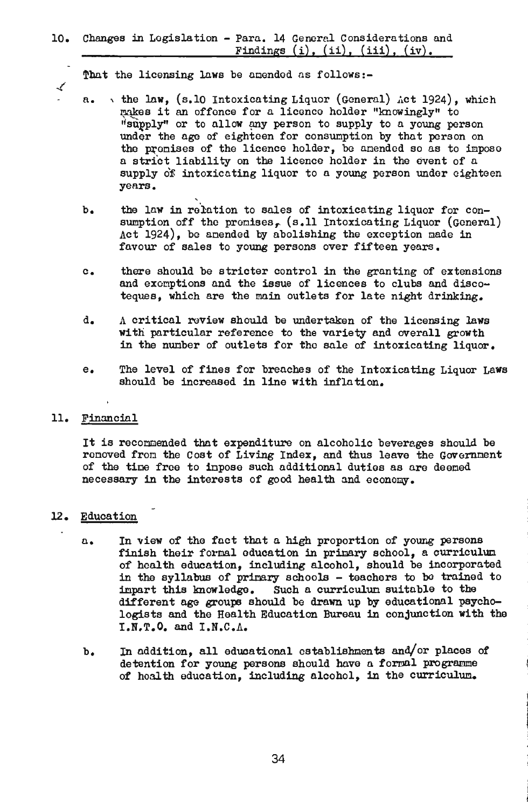that the licensing laws be amended as follows:-

- کی
- a.  $\theta$ , the law, (s.10 Intoxicating Liquor (General) Act 1924), which makes it an offence for a licence holder "knowingly" to "supply" or to allow any person to supply to a young person under the age of eighteen for consumption by that person on the premises of the licence holder, be amended so as to impose a strict liability on the licence holder in the event of a supply of intoxicating liquor to a young person under eighteen years. ,
- b. the law in relation to sales of intoxicating liquor for consumption off the promises, (s.ll Intoxicating Liquor (General) Act 1924), be amended by abolishing the exception made in favour of sales to young persons over fifteen years.
- c. there should be stricter control in the granting of extensions and excrptions and the issue of licences to clubs and discoteques, which are the main outlets for late night drinking.
- d. A critical review should be undertaken of the licensing laws with particular reference to the variety and overall growth in the number of outlets for tho sale of intoxicating liquor.
- e. The level of fines for breaches of the Intoxicating Liquor Laws should be increased in line with inflation.

# 11. Financial

It is recommended that expenditure on alcoholic beverages should be removed from the Cost of Living Index, and thus leave the Government of the time free to impose such additional duties as are deemed necessary in the interests of good health and economy.

# 12. Education

- a. In view of the fact that a high proportion of young persons finish their formal education in primary school, a curriculum of health education, including alcohol, should be incorporated in the syllabus of primary schools  $-$  teachers to be trained to inpart this knowledge. Such a curriculum suitable to the Such a curriculum suitable to the different age groups should be drawn up by educational psychologists and the Health Education Bureau in conjunction with the I.N.T.O. and I.N.C.A.
- b. In addition, all educational establislments and/or places of detention for young persons should have a formal programme of hoalth education, including alcohol, in the curriculum.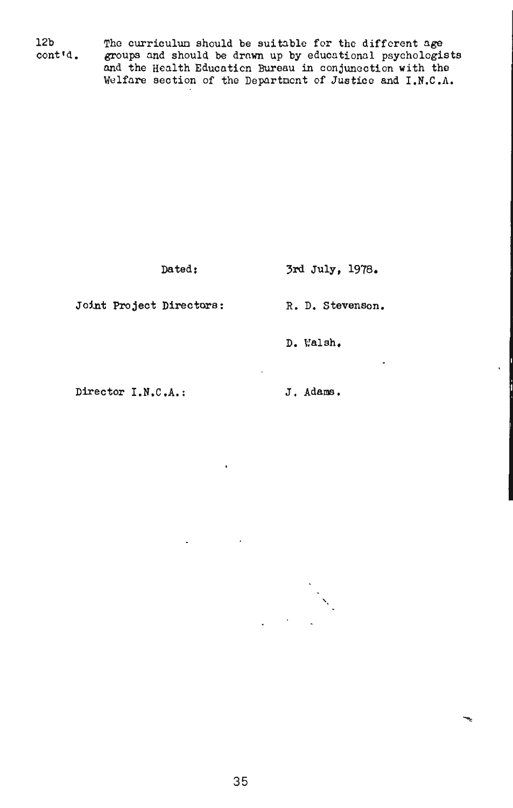$12<sub>b</sub>$ The curriculum should be suitable for the different age cont'd. groups and should be drawn up by educational psychologists and the Health Education Bureau in conjunction with the Welfare section of the Department of Justice and I.N.C.A.

Dated:

3rd July, 1978.

R. D. Stevenson.

Joint Project Directors:

D. Walsh.

Director I.N.C.A.:

J. Adams.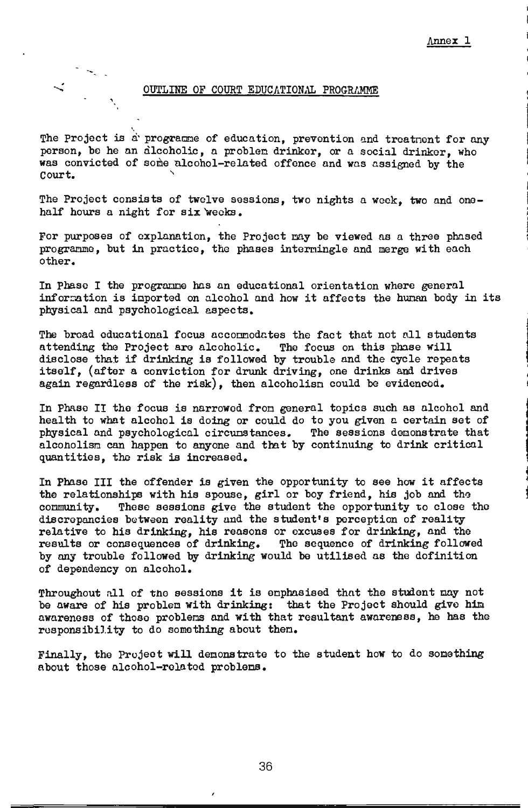**In the company's company's company's** 

# OUTLINE OF COURT EDUCATIONAL PROGRAMME

'.

The Project is a programme of education, prevention and treatnent for any person, be he an dlcoholic, a problem drinker, or a social drinker, who was convicted of some alcohol-related offence and was assigned by the Court.

The Project consists of twelve sessions, two nights a week, two and onehalf hours a night for six weeks.

For purposes of explanation, the Project may be viewed as a three phased programme, but in practice, the phases intermingle and merge with each other.

In Phase I the programme has an educational orientation where general information is imported on alcohol and how it affects the hunan body in its physical and psychological aspects.

The broad educational focus acconmodates the fact that not all students attending the Project are alcoholic. The focus on this phase will disclose that if drinking is followed by trouble and the cycle repeats itself, (after a conviction for drunk driving, one drinks and drives again regardless of the risk), then alcoholism could be evidenced.

In Phase II the focus is narrowed from general topics such as alcohol and health to what alcohol is doing or could do to you given a certain set of physical and psychological circunstances. The sessions demonstrate that alCOholism can happen to anyone and that by continuing to drink critical quantities, the risk is increased.

In Phase III the offender is given the opportunity to see how it affects the relationships with his spouse, girl or boy friend, his job and the conmunity. These sessions give the student the opportunity to close tho discrepancies between reality and the student's perception of reality relative to his drinking, his reasons or excuses for drinkine, and the results or consequences of drinking. The sequence of drinking followed by any trouble followed by drinking would be utilised as the dofinition of dependency on alcohol.

Throughout all of tho sessions it is emphasised that the student may not be aware of his problem with drinking: that the Project should give him awareness of those problecs and with that resultant awareness, he has the responsibility to do something about them.

Finally, the Project will demonstrate to the student how to do something about those alcohol-related problems.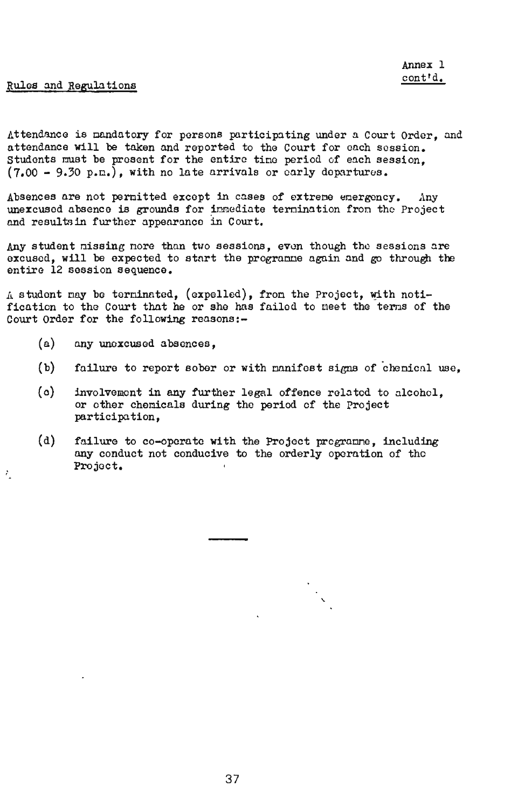# Rules and Regulations

÷,

Attendance is mandatory for persons participating under a Court Order, and attendance will be taken and reported to the Court for each session. Students must be present for the entire time period of each session,  $(7.00 - 9.30 \text{ p.m.})$ , with no late arrivals or early departures.

Absences are not permitted except in cases of extreme emergency. Any unexcused absence is grounds for innediate termination from the Project and results in further appearance in Court.

Any student nissing nore thun two sessions, even though tho sessions are excused, will be expected to start the programme again and go through the entire 12 session sequence.

 $A$  student may be terminated, (expelled), from the Project, with notification to the Court that he or she has failed to meet the terns of the Court Order for the following reasons:-

- (0) any unexcused absences,
- (b) failure to report sober or with manifest signs of chemical use.
- (c) involvement in any further legal offence related to alcohol, or other checicals during the period of the Project participa tion,
- (d) failure to co-operate with the Project prcgracne, including any conduct not conducive to the orderly operation of thc Project.